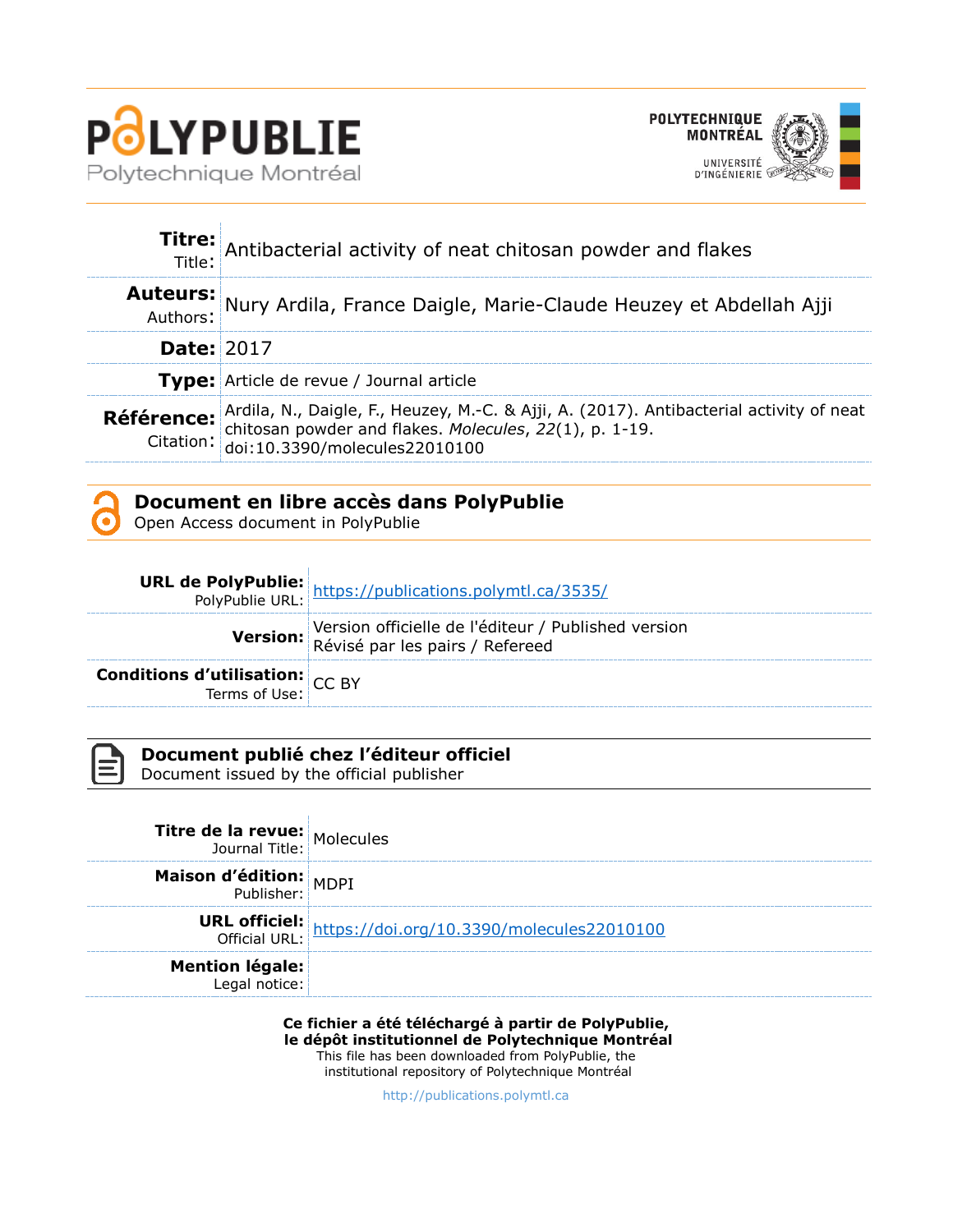



|                   | Titre: Antibacterial activity of neat chitosan powder and flakes                                                                                                                                                                 |
|-------------------|----------------------------------------------------------------------------------------------------------------------------------------------------------------------------------------------------------------------------------|
|                   | Auteurs: Nury Ardila, France Daigle, Marie-Claude Heuzey et Abdellah Ajji                                                                                                                                                        |
| <b>Date: 2017</b> |                                                                                                                                                                                                                                  |
|                   | <b>Type:</b> Article de revue / Journal article                                                                                                                                                                                  |
|                   | <b>Référence:</b> Ardila, N., Daigle, F., Heuzey, M.-C. & Ajji, A. (2017). Antibacterial activity of neat<br>Citation: chitosan powder and flakes. <i>Molecules</i> , 22(1), p. 1-19.<br>Citation: doi:10.3390/molecules22010100 |

## **Document en libre accès dans PolyPublie**

Open Access document in PolyPublie

|                                                           | <b>URL de PolyPublie:</b> https://publications.polymtl.ca/3535/                        |
|-----------------------------------------------------------|----------------------------------------------------------------------------------------|
|                                                           | Version officielle de l'éditeur / Published version<br>Révisé par les pairs / Refereed |
| <b>Conditions d'utilisation:</b> $CC$ BY<br>Terms of Use: |                                                                                        |

| - 1 |
|-----|
|     |
|     |
|     |

# **Document publié chez l'éditeur officiel**

Document issued by the official publisher

| <b>Titre de la revue:</b> Molecules     |                                                         |
|-----------------------------------------|---------------------------------------------------------|
| <b>Maison d'édition:</b> MDPI           |                                                         |
|                                         | URL officiel: https://doi.org/10.3390/molecules22010100 |
| <b>Mention légale:</b><br>Legal notice: |                                                         |

**Ce fichier a été téléchargé à partir de PolyPublie, le dépôt institutionnel de Polytechnique Montréal** This file has been downloaded from PolyPublie, the institutional repository of Polytechnique Montréal

[http://publications.polymtl.ca](http://publications.polymtl.ca/)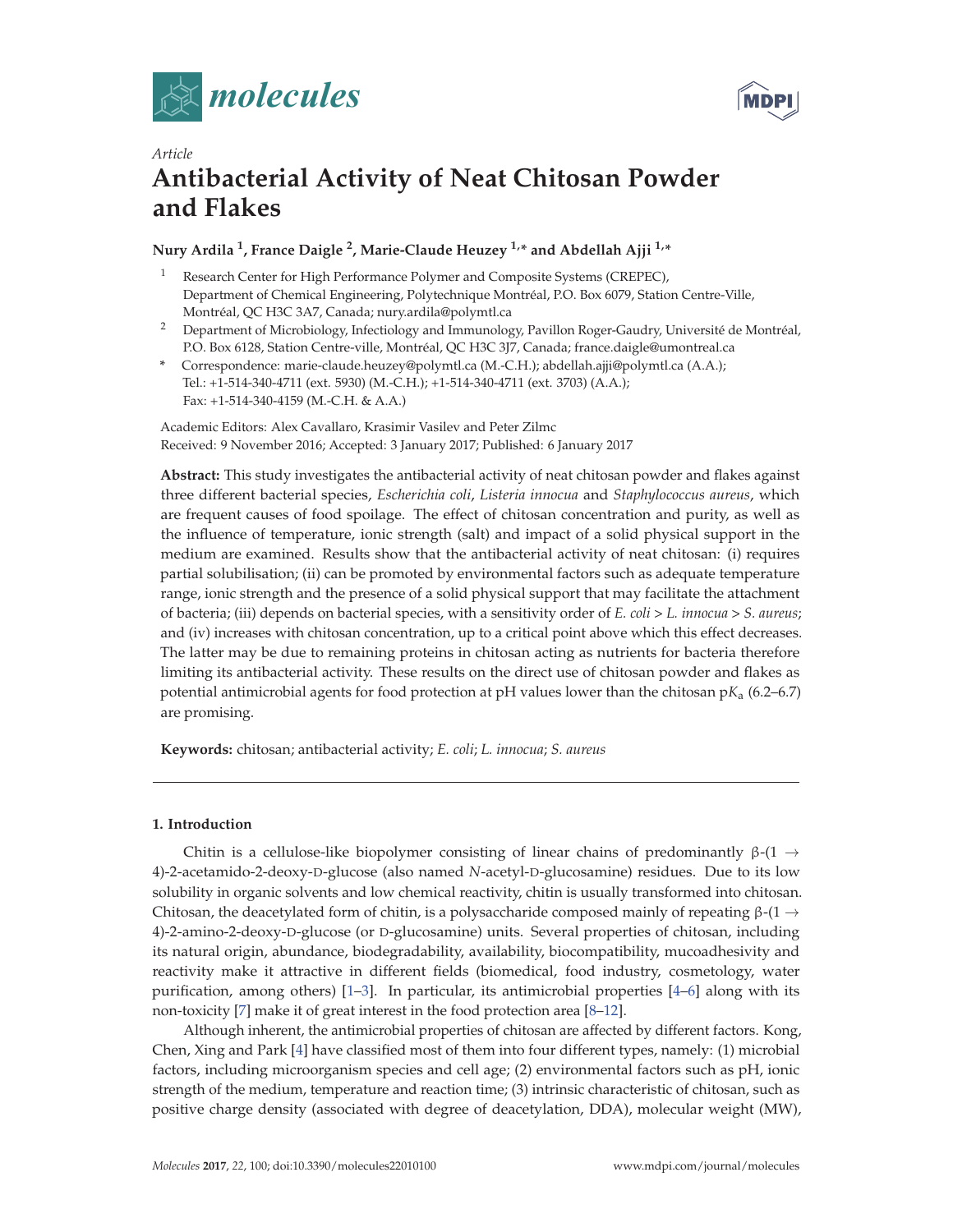



# *Article* **Antibacterial Activity of Neat Chitosan Powder and Flakes**

## **Nury Ardila 1, France Daigle 2, Marie-Claude Heuzey 1,\* and Abdellah Ajji 1,\***

- <sup>1</sup> Research Center for High Performance Polymer and Composite Systems (CREPEC), Department of Chemical Engineering, Polytechnique Montréal, P.O. Box 6079, Station Centre-Ville, Montréal, QC H3C 3A7, Canada; nury.ardila@polymtl.ca
- <sup>2</sup> Department of Microbiology, Infectiology and Immunology, Pavillon Roger-Gaudry, Université de Montréal, P.O. Box 6128, Station Centre-ville, Montréal, QC H3C 3J7, Canada; france.daigle@umontreal.ca
- **\*** Correspondence: marie-claude.heuzey@polymtl.ca (M.-C.H.); abdellah.ajji@polymtl.ca (A.A.); Tel.: +1-514-340-4711 (ext. 5930) (M.-C.H.); +1-514-340-4711 (ext. 3703) (A.A.); Fax: +1-514-340-4159 (M.-C.H. & A.A.)

Academic Editors: Alex Cavallaro, Krasimir Vasilev and Peter Zilmc Received: 9 November 2016; Accepted: 3 January 2017; Published: 6 January 2017

**Abstract:** This study investigates the antibacterial activity of neat chitosan powder and flakes against three different bacterial species, *Escherichia coli*, *Listeria innocua* and *Staphylococcus aureus*, which are frequent causes of food spoilage. The effect of chitosan concentration and purity, as well as the influence of temperature, ionic strength (salt) and impact of a solid physical support in the medium are examined. Results show that the antibacterial activity of neat chitosan: (i) requires partial solubilisation; (ii) can be promoted by environmental factors such as adequate temperature range, ionic strength and the presence of a solid physical support that may facilitate the attachment of bacteria; (iii) depends on bacterial species, with a sensitivity order of *E. coli* > *L. innocua* > *S. aureus*; and (iv) increases with chitosan concentration, up to a critical point above which this effect decreases. The latter may be due to remaining proteins in chitosan acting as nutrients for bacteria therefore limiting its antibacterial activity. These results on the direct use of chitosan powder and flakes as potential antimicrobial agents for food protection at pH values lower than the chitosan p*K*a (6.2–6.7) are promising.

**Keywords:** chitosan; antibacterial activity; *E. coli*; *L. innocua*; *S. aureus*

## **1. Introduction**

Chitin is a cellulose-like biopolymer consisting of linear chains of predominantly  $β-(1)$  → 4)-2-acetamido-2-deoxy-D-glucose (also named *N*-acetyl-D-glucosamine) residues. Due to its low solubility in organic solvents and low chemical reactivity, chitin is usually transformed into chitosan. Chitosan, the deacetylated form of chitin, is a polysaccharide composed mainly of repeating  $β$ -(1  $\rightarrow$ 4)-2-amino-2-deoxy-D-glucose (or D-glucosamine) units. Several properties of chitosan, including its natural origin, abundance, biodegradability, availability, biocompatibility, mucoadhesivity and reactivity make it attractive in different fields (biomedical, food industry, cosmetology, water purification, among others) [1–3]. In particular, its antimicrobial properties [4–6] along with its non-toxicity [7] make it of great interest in the food protection area [8–12].

Although inherent, the antimicrobial properties of chitosan are affected by different factors. Kong, Chen, Xing and Park [4] have classified most of them into four different types, namely: (1) microbial factors, including microorganism species and cell age; (2) environmental factors such as pH, ionic strength of the medium, temperature and reaction time; (3) intrinsic characteristic of chitosan, such as positive charge density (associated with degree of deacetylation, DDA), molecular weight (MW),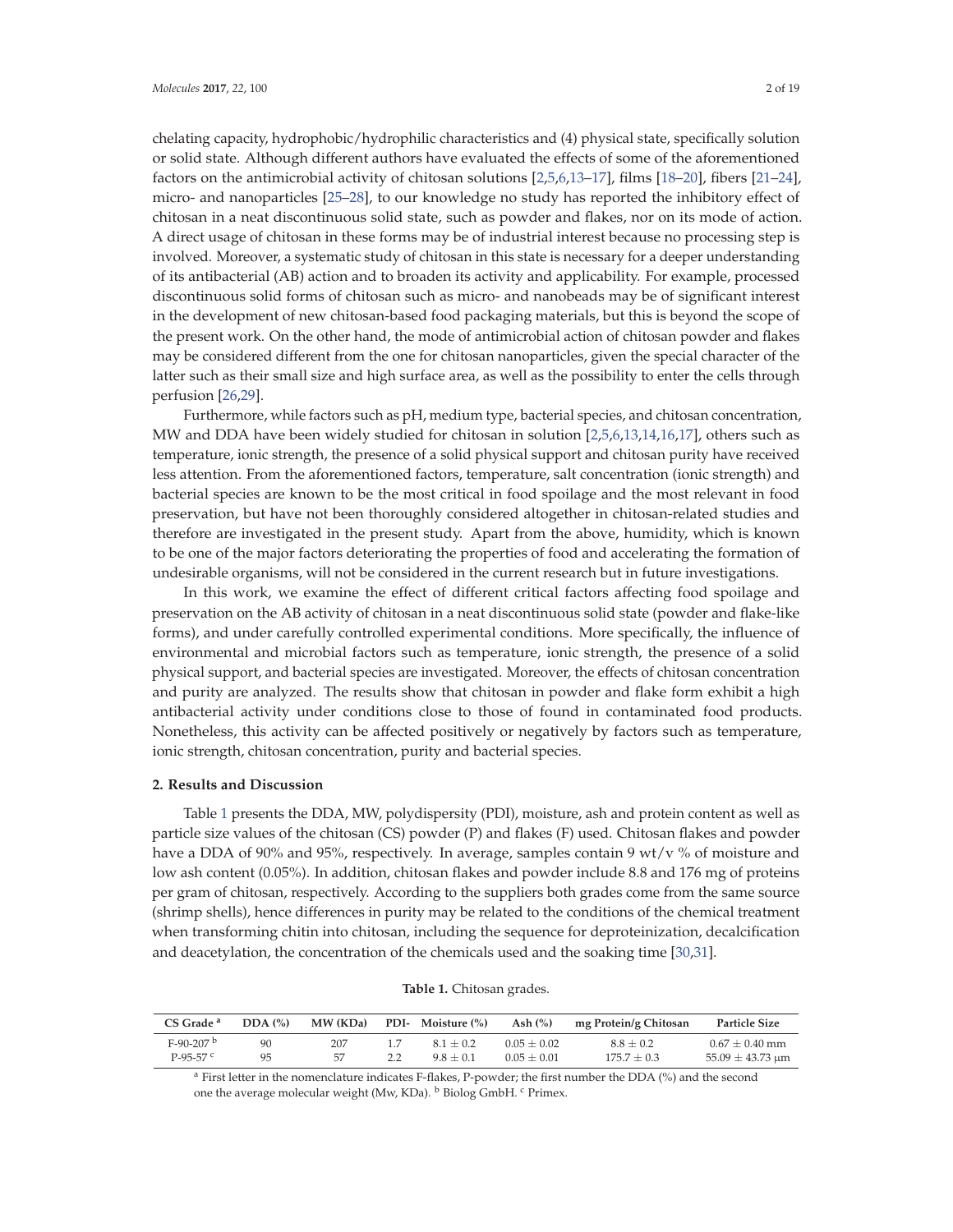chelating capacity, hydrophobic/hydrophilic characteristics and (4) physical state, specifically solution or solid state. Although different authors have evaluated the effects of some of the aforementioned factors on the antimicrobial activity of chitosan solutions [2,5,6,13–17], films [18–20], fibers [21–24], micro- and nanoparticles [25–28], to our knowledge no study has reported the inhibitory effect of chitosan in a neat discontinuous solid state, such as powder and flakes, nor on its mode of action. A direct usage of chitosan in these forms may be of industrial interest because no processing step is involved. Moreover, a systematic study of chitosan in this state is necessary for a deeper understanding of its antibacterial (AB) action and to broaden its activity and applicability. For example, processed discontinuous solid forms of chitosan such as micro- and nanobeads may be of significant interest in the development of new chitosan-based food packaging materials, but this is beyond the scope of the present work. On the other hand, the mode of antimicrobial action of chitosan powder and flakes may be considered different from the one for chitosan nanoparticles, given the special character of the latter such as their small size and high surface area, as well as the possibility to enter the cells through perfusion [26,29].

Furthermore, while factors such as pH, medium type, bacterial species, and chitosan concentration, MW and DDA have been widely studied for chitosan in solution [2,5,6,13,14,16,17], others such as temperature, ionic strength, the presence of a solid physical support and chitosan purity have received less attention. From the aforementioned factors, temperature, salt concentration (ionic strength) and bacterial species are known to be the most critical in food spoilage and the most relevant in food preservation, but have not been thoroughly considered altogether in chitosan-related studies and therefore are investigated in the present study. Apart from the above, humidity, which is known to be one of the major factors deteriorating the properties of food and accelerating the formation of undesirable organisms, will not be considered in the current research but in future investigations.

In this work, we examine the effect of different critical factors affecting food spoilage and preservation on the AB activity of chitosan in a neat discontinuous solid state (powder and flake-like forms), and under carefully controlled experimental conditions. More specifically, the influence of environmental and microbial factors such as temperature, ionic strength, the presence of a solid physical support, and bacterial species are investigated. Moreover, the effects of chitosan concentration and purity are analyzed. The results show that chitosan in powder and flake form exhibit a high antibacterial activity under conditions close to those of found in contaminated food products. Nonetheless, this activity can be affected positively or negatively by factors such as temperature, ionic strength, chitosan concentration, purity and bacterial species.

## **2. Results and Discussion**

Table 1 presents the DDA, MW, polydispersity (PDI), moisture, ash and protein content as well as particle size values of the chitosan (CS) powder (P) and flakes (F) used. Chitosan flakes and powder have a DDA of 90% and 95%, respectively. In average, samples contain 9  $wt/v$  % of moisture and low ash content (0.05%). In addition, chitosan flakes and powder include 8.8 and 176 mg of proteins per gram of chitosan, respectively. According to the suppliers both grades come from the same source (shrimp shells), hence differences in purity may be related to the conditions of the chemical treatment when transforming chitin into chitosan, including the sequence for deproteinization, decalcification and deacetylation, the concentration of the chemicals used and the soaking time [30,31].

| CS Grade <sup>a</sup>   | DDA(%) | MW (KDa) | PDI- Moisture (%) | Ash $(\%)$    | mg Protein/g Chitosan | <b>Particle Size</b> |
|-------------------------|--------|----------|-------------------|---------------|-----------------------|----------------------|
| $F-90-207$ <sup>b</sup> | 90     | 207      | $81 + 02$         | $0.05 + 0.02$ | $8.8 + 0.2$           | $0.67 \pm 0.40$ mm   |
| $P-95-57$ c             | 95     | 57       | $9.8 + 0.1$       | $0.05 + 0.01$ | $175.7 + 0.3$         | $55.09 \pm 43.73$ um |

**Table 1.** Chitosan grades.

<sup>a</sup> First letter in the nomenclature indicates F-flakes, P-powder; the first number the DDA (%) and the second one the average molecular weight (Mw, KDa). <sup>b</sup> Biolog GmbH. <sup>c</sup> Primex.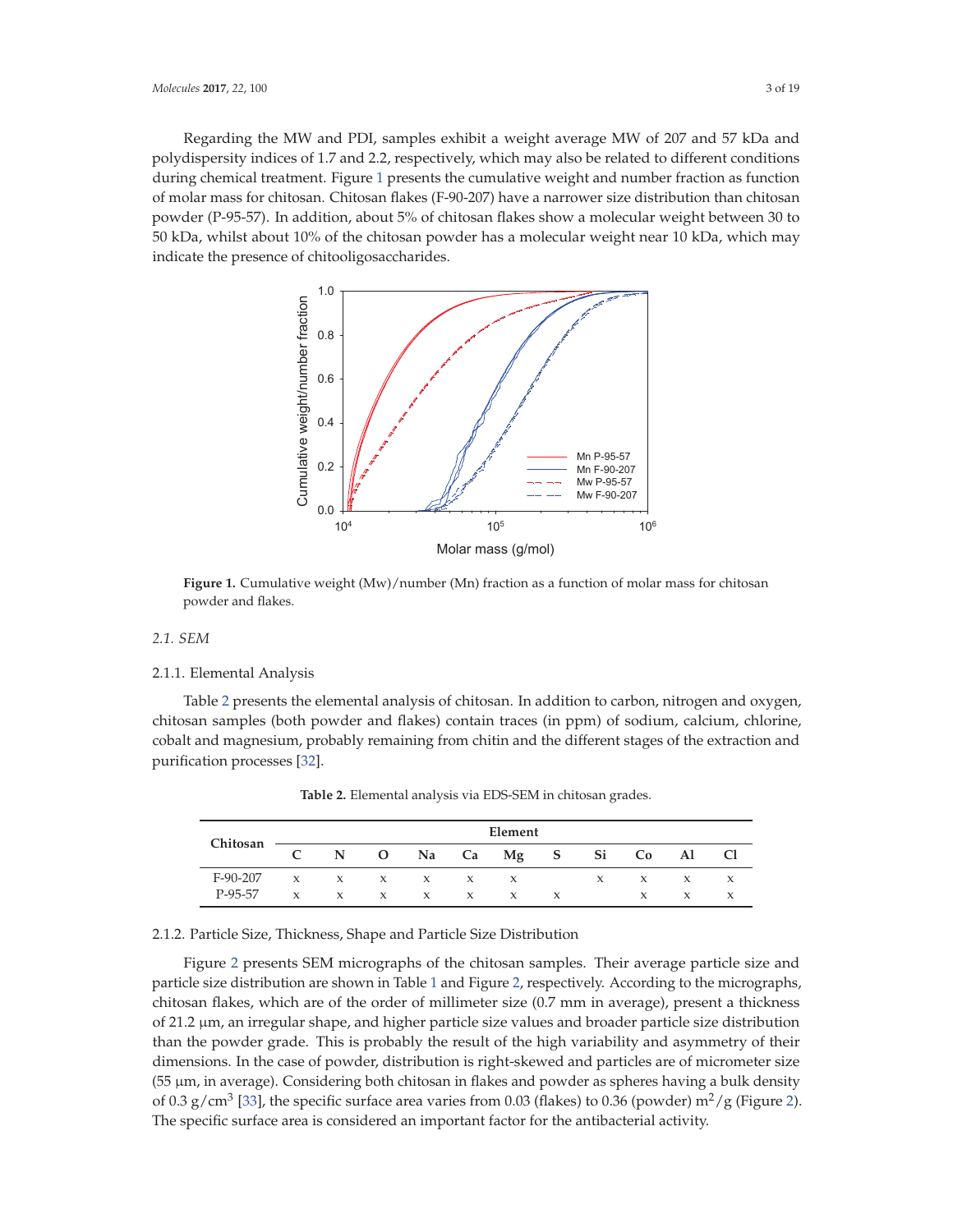Regarding the MW and PDI, samples exhibit a weight average MW of 207 and 57 kDa and polydispersity indices of 1.7 and 2.2, respectively, which may also be related to different conditions during chemical treatment. Figure 1 presents the cumulative weight and number fraction as function of molar mass for chitosan. Chitosan flakes (F-90-207) have a narrower size distribution than chitosan powder (P-95-57). In addition, about 5% of chitosan flakes show a molecular weight between 30 to 50 kDa, whilst about 10% of the chitosan powder has a molecular weight near 10 kDa, which may indicate the presence of chitooligosaccharides.



**Figure 1.** Cumulative weight (Mw)/number (Mn) fraction as a function of molar mass for chitosan powder and flakes.

## *2.1. SEM*

#### 2.1.1. Elemental Analysis

Table 2 presents the elemental analysis of chitosan. In addition to carbon, nitrogen and oxygen, chitosan samples (both powder and flakes) contain traces (in ppm) of sodium, calcium, chlorine, cobalt and magnesium, probably remaining from chitin and the different stages of the extraction and purification processes [32].

| Chitosan   |              |              |              |                 |              | Element      |              |   |              |              |                     |
|------------|--------------|--------------|--------------|-----------------|--------------|--------------|--------------|---|--------------|--------------|---------------------|
|            |              |              | $N$ O        |                 |              | Na Ca Mg S   |              |   | Si Co Al     |              | -Cl                 |
| $F-90-207$ | $\mathbf{x}$ |              |              | $X$ $X$ $X$ $X$ |              | $\mathbf{x}$ |              | X | $\mathbf{x}$ | $\mathbf{x}$ | $\boldsymbol{\chi}$ |
| P-95-57    | $\mathbf{x}$ | $\mathbf{x}$ | $\mathbf{x}$ | $\mathbf{x}$    | $\mathbf{x}$ | $\mathbf{x}$ | $\mathbf{x}$ |   | X            | X            |                     |

**Table 2.** Elemental analysis via EDS-SEM in chitosan grades.

## 2.1.2. Particle Size, Thickness, Shape and Particle Size Distribution

Figure 2 presents SEM micrographs of the chitosan samples. Their average particle size and particle size distribution are shown in Table 1 and Figure 2, respectively. According to the micrographs, chitosan flakes, which are of the order of millimeter size (0.7 mm in average), present a thickness of 21.2 μm, an irregular shape, and higher particle size values and broader particle size distribution than the powder grade. This is probably the result of the high variability and asymmetry of their dimensions. In the case of powder, distribution is right-skewed and particles are of micrometer size (55 μm, in average). Considering both chitosan in flakes and powder as spheres having a bulk density of 0.3 g/cm<sup>3</sup> [33], the specific surface area varies from 0.03 (flakes) to 0.36 (powder) m<sup>2</sup>/g (Figure 2). The specific surface area is considered an important factor for the antibacterial activity.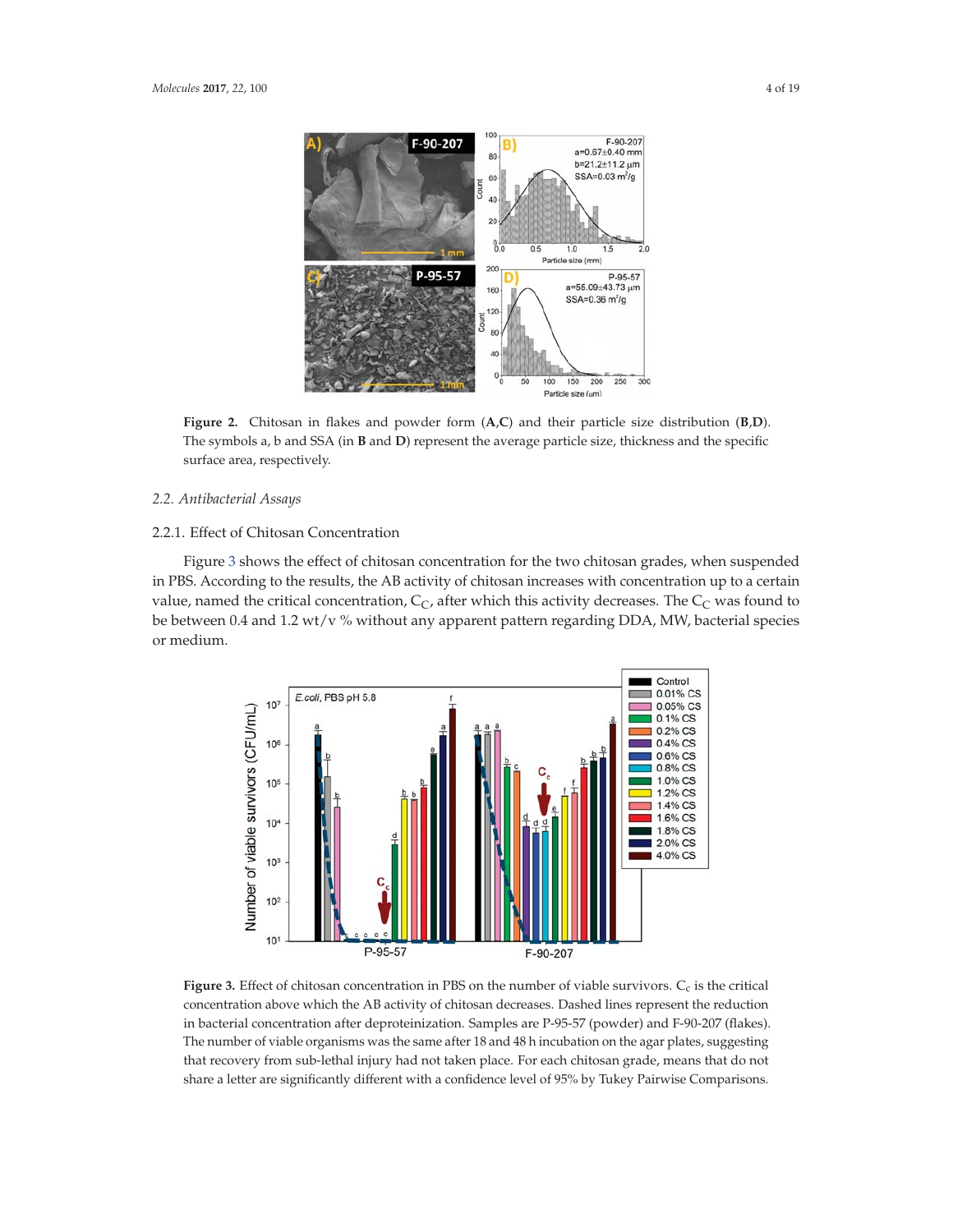

**Figure 2.** Chitosan in flakes and powder form (**A**,**C**) and their particle size distribution (**B**,**D**). The symbols a, b and SSA (in **B** and **D**) represent the average particle size, thickness and the specific surface area, respectively.

## *2.2. Antibacterial Assays*

## 2.2.1. Effect of Chitosan Concentration

Figure 3 shows the effect of chitosan concentration for the two chitosan grades, when suspended in PBS. According to the results, the AB activity of chitosan increases with concentration up to a certain value, named the critical concentration,  $C_C$ , after which this activity decreases. The  $C_C$  was found to be between 0.4 and 1.2 wt/v % without any apparent pattern regarding DDA, MW, bacterial species or medium.



Figure 3. Effect of chitosan concentration in PBS on the number of viable survivors. C<sub>c</sub> is the critical concentration above which the AB activity of chitosan decreases. Dashed lines represent the reduction in bacterial concentration after deproteinization. Samples are P-95-57 (powder) and F-90-207 (flakes). The number of viable organisms was the same after 18 and 48 h incubation on the agar plates, suggesting that recovery from sub-lethal injury had not taken place. For each chitosan grade, means that do not share a letter are significantly different with a confidence level of 95% by Tukey Pairwise Comparisons.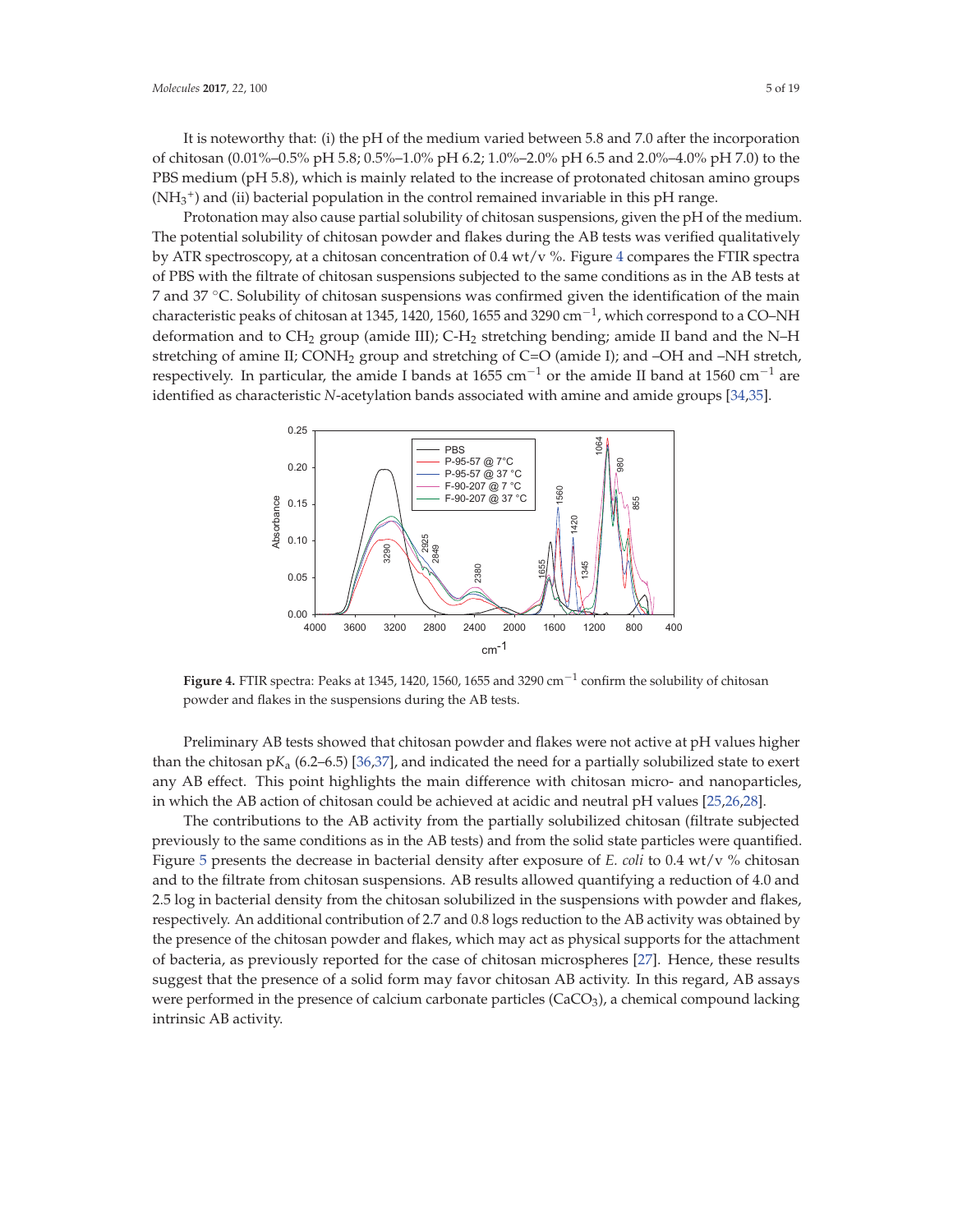It is noteworthy that: (i) the pH of the medium varied between 5.8 and 7.0 after the incorporation of chitosan (0.01%–0.5% pH 5.8; 0.5%–1.0% pH 6.2; 1.0%–2.0% pH 6.5 and 2.0%–4.0% pH 7.0) to the PBS medium (pH 5.8), which is mainly related to the increase of protonated chitosan amino groups  $(NH_3^+)$  and (ii) bacterial population in the control remained invariable in this pH range.

Protonation may also cause partial solubility of chitosan suspensions, given the pH of the medium. The potential solubility of chitosan powder and flakes during the AB tests was verified qualitatively by ATR spectroscopy, at a chitosan concentration of 0.4 wt/v %. Figure 4 compares the FTIR spectra of PBS with the filtrate of chitosan suspensions subjected to the same conditions as in the AB tests at 7 and 37 °C. Solubility of chitosan suspensions was confirmed given the identification of the main characteristic peaks of chitosan at 1345, 1420, 1560, 1655 and 3290 cm<sup>-1</sup>, which correspond to a CO–NH deformation and to CH<sub>2</sub> group (amide III); C-H<sub>2</sub> stretching bending; amide II band and the N–H stretching of amine II;  $COMH<sub>2</sub>$  group and stretching of  $C=O$  (amide I); and  $-OH$  and  $-NH$  stretch, respectively. In particular, the amide I bands at 1655 cm<sup>-1</sup> or the amide II band at 1560 cm<sup>-1</sup> are identified as characteristic *N*-acetylation bands associated with amine and amide groups [34,35].



**Figure 4.** FTIR spectra: Peaks at 1345, 1420, 1560, 1655 and 3290 cm−<sup>1</sup> confirm the solubility of chitosan powder and flakes in the suspensions during the AB tests.

Preliminary AB tests showed that chitosan powder and flakes were not active at pH values higher than the chitosan  $pK_a$  (6.2–6.5) [36,37], and indicated the need for a partially solubilized state to exert any AB effect. This point highlights the main difference with chitosan micro- and nanoparticles, in which the AB action of chitosan could be achieved at acidic and neutral pH values [25,26,28].

The contributions to the AB activity from the partially solubilized chitosan (filtrate subjected previously to the same conditions as in the AB tests) and from the solid state particles were quantified. Figure 5 presents the decrease in bacterial density after exposure of *E. coli* to 0.4 wt/v % chitosan and to the filtrate from chitosan suspensions. AB results allowed quantifying a reduction of 4.0 and 2.5 log in bacterial density from the chitosan solubilized in the suspensions with powder and flakes, respectively. An additional contribution of 2.7 and 0.8 logs reduction to the AB activity was obtained by the presence of the chitosan powder and flakes, which may act as physical supports for the attachment of bacteria, as previously reported for the case of chitosan microspheres [27]. Hence, these results suggest that the presence of a solid form may favor chitosan AB activity. In this regard, AB assays were performed in the presence of calcium carbonate particles (CaCO<sub>3</sub>), a chemical compound lacking intrinsic AB activity.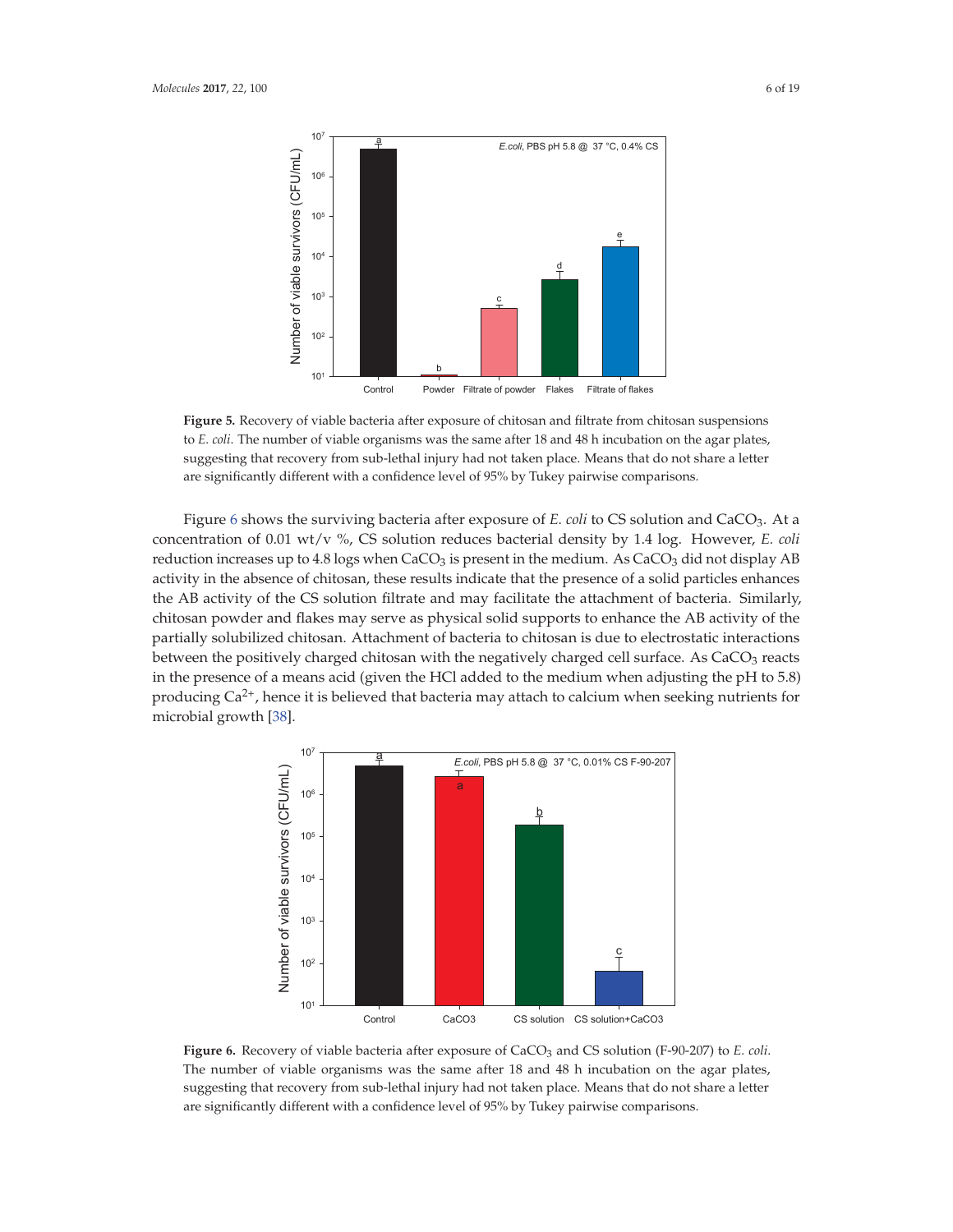

**Figure 5.** Recovery of viable bacteria after exposure of chitosan and filtrate from chitosan suspensions to *E. coli*. The number of viable organisms was the same after 18 and 48 h incubation on the agar plates, suggesting that recovery from sub-lethal injury had not taken place. Means that do not share a letter are significantly different with a confidence level of 95% by Tukey pairwise comparisons.

Figure 6 shows the surviving bacteria after exposure of *E. coli* to CS solution and CaCO<sub>3</sub>. At a concentration of 0.01 wt/v %, CS solution reduces bacterial density by 1.4 log. However, *E. coli* reduction increases up to 4.8 logs when  $CaCO<sub>3</sub>$  is present in the medium. As  $CaCO<sub>3</sub>$  did not display AB activity in the absence of chitosan, these results indicate that the presence of a solid particles enhances the AB activity of the CS solution filtrate and may facilitate the attachment of bacteria. Similarly, chitosan powder and flakes may serve as physical solid supports to enhance the AB activity of the partially solubilized chitosan. Attachment of bacteria to chitosan is due to electrostatic interactions between the positively charged chitosan with the negatively charged cell surface. As CaCO<sub>3</sub> reacts in the presence of a means acid (given the HCl added to the medium when adjusting the pH to 5.8) producing  $Ca^{2+}$ , hence it is believed that bacteria may attach to calcium when seeking nutrients for microbial growth [38].



**Figure 6.** Recovery of viable bacteria after exposure of CaCO<sub>3</sub> and CS solution (F-90-207) to *E. coli.* The number of viable organisms was the same after 18 and 48 h incubation on the agar plates, suggesting that recovery from sub-lethal injury had not taken place. Means that do not share a letter are significantly different with a confidence level of 95% by Tukey pairwise comparisons.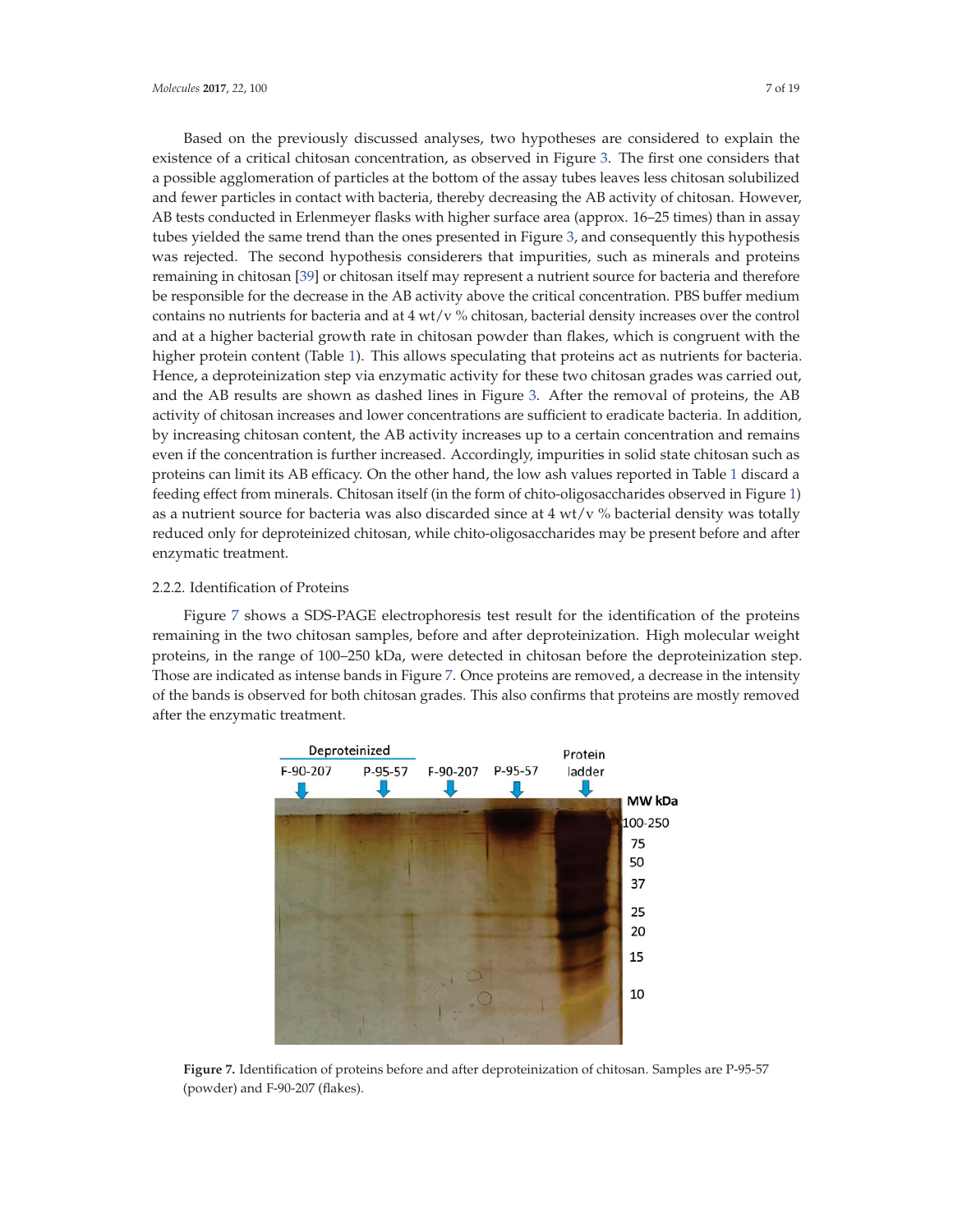Based on the previously discussed analyses, two hypotheses are considered to explain the existence of a critical chitosan concentration, as observed in Figure 3. The first one considers that a possible agglomeration of particles at the bottom of the assay tubes leaves less chitosan solubilized and fewer particles in contact with bacteria, thereby decreasing the AB activity of chitosan. However, AB tests conducted in Erlenmeyer flasks with higher surface area (approx. 16–25 times) than in assay tubes yielded the same trend than the ones presented in Figure 3, and consequently this hypothesis was rejected. The second hypothesis considerers that impurities, such as minerals and proteins remaining in chitosan [39] or chitosan itself may represent a nutrient source for bacteria and therefore be responsible for the decrease in the AB activity above the critical concentration. PBS buffer medium contains no nutrients for bacteria and at  $4 w t/v$  % chitosan, bacterial density increases over the control and at a higher bacterial growth rate in chitosan powder than flakes, which is congruent with the higher protein content (Table 1). This allows speculating that proteins act as nutrients for bacteria. Hence, a deproteinization step via enzymatic activity for these two chitosan grades was carried out, and the AB results are shown as dashed lines in Figure 3. After the removal of proteins, the AB activity of chitosan increases and lower concentrations are sufficient to eradicate bacteria. In addition, by increasing chitosan content, the AB activity increases up to a certain concentration and remains even if the concentration is further increased. Accordingly, impurities in solid state chitosan such as proteins can limit its AB efficacy. On the other hand, the low ash values reported in Table 1 discard a feeding effect from minerals. Chitosan itself (in the form of chito-oligosaccharides observed in Figure 1) as a nutrient source for bacteria was also discarded since at  $4 w t/v$  % bacterial density was totally reduced only for deproteinized chitosan, while chito-oligosaccharides may be present before and after enzymatic treatment.

## 2.2.2. Identification of Proteins

Figure 7 shows a SDS-PAGE electrophoresis test result for the identification of the proteins remaining in the two chitosan samples, before and after deproteinization. High molecular weight proteins, in the range of 100–250 kDa, were detected in chitosan before the deproteinization step. Those are indicated as intense bands in Figure 7. Once proteins are removed, a decrease in the intensity of the bands is observed for both chitosan grades. This also confirms that proteins are mostly removed after the enzymatic treatment.



**Figure 7.** Identification of proteins before and after deproteinization of chitosan. Samples are P-95-57 (powder) and F-90-207 (flakes).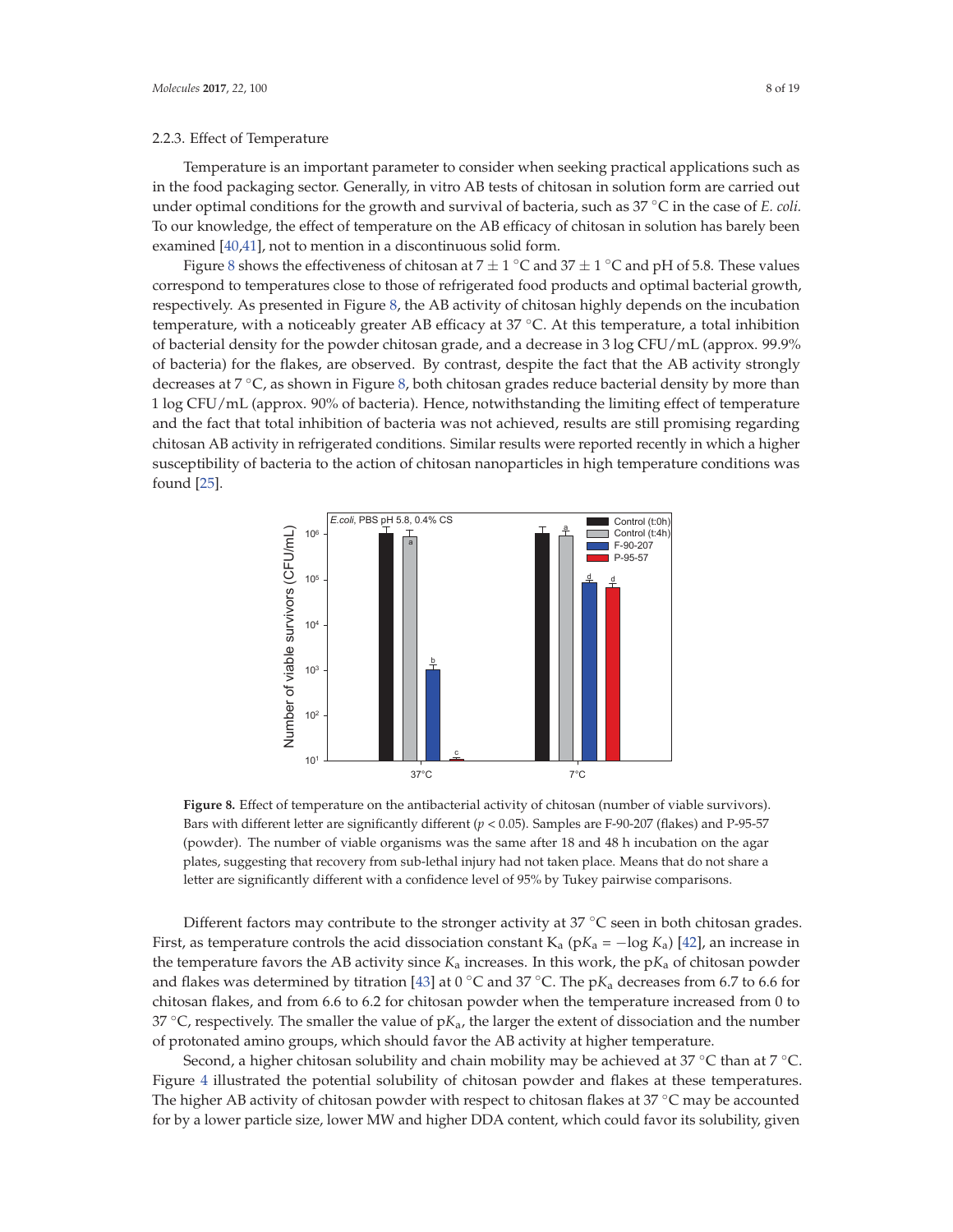#### 2.2.3. Effect of Temperature

Temperature is an important parameter to consider when seeking practical applications such as in the food packaging sector. Generally, in vitro AB tests of chitosan in solution form are carried out under optimal conditions for the growth and survival of bacteria, such as 37 ◦C in the case of *E. coli.* To our knowledge, the effect of temperature on the AB efficacy of chitosan in solution has barely been examined [40,41], not to mention in a discontinuous solid form.

Figure 8 shows the effectiveness of chitosan at  $7 \pm 1$  °C and  $37 \pm 1$  °C and pH of 5.8. These values correspond to temperatures close to those of refrigerated food products and optimal bacterial growth, respectively. As presented in Figure 8, the AB activity of chitosan highly depends on the incubation temperature, with a noticeably greater AB efficacy at 37 ℃. At this temperature, a total inhibition of bacterial density for the powder chitosan grade, and a decrease in 3 log CFU/mL (approx. 99.9% of bacteria) for the flakes, are observed. By contrast, despite the fact that the AB activity strongly decreases at 7 ◦C, as shown in Figure 8, both chitosan grades reduce bacterial density by more than 1 log CFU/mL (approx. 90% of bacteria). Hence, notwithstanding the limiting effect of temperature and the fact that total inhibition of bacteria was not achieved, results are still promising regarding chitosan AB activity in refrigerated conditions. Similar results were reported recently in which a higher susceptibility of bacteria to the action of chitosan nanoparticles in high temperature conditions was found [25].



**Figure 8.** Effect of temperature on the antibacterial activity of chitosan (number of viable survivors). Bars with different letter are significantly different (*p* < 0.05). Samples are F-90-207 (flakes) and P-95-57 (powder). The number of viable organisms was the same after 18 and 48 h incubation on the agar plates, suggesting that recovery from sub-lethal injury had not taken place. Means that do not share a letter are significantly different with a confidence level of 95% by Tukey pairwise comparisons.

Different factors may contribute to the stronger activity at  $37^{\circ}$ C seen in both chitosan grades. First, as temperature controls the acid dissociation constant K<sub>a</sub> ( $pK_a = -\log K_a$ ) [42], an increase in the temperature favors the AB activity since  $K_a$  increases. In this work, the  $pK_a$  of chitosan powder and flakes was determined by titration [43] at 0 °C and 37 °C. The  $pK_a$  decreases from 6.7 to 6.6 for chitosan flakes, and from 6.6 to 6.2 for chitosan powder when the temperature increased from 0 to 37  $\degree$ C, respectively. The smaller the value of p $K_a$ , the larger the extent of dissociation and the number of protonated amino groups, which should favor the AB activity at higher temperature.

Second, a higher chitosan solubility and chain mobility may be achieved at 37 °C than at 7 °C. Figure 4 illustrated the potential solubility of chitosan powder and flakes at these temperatures. The higher AB activity of chitosan powder with respect to chitosan flakes at 37  $\degree$ C may be accounted for by a lower particle size, lower MW and higher DDA content, which could favor its solubility, given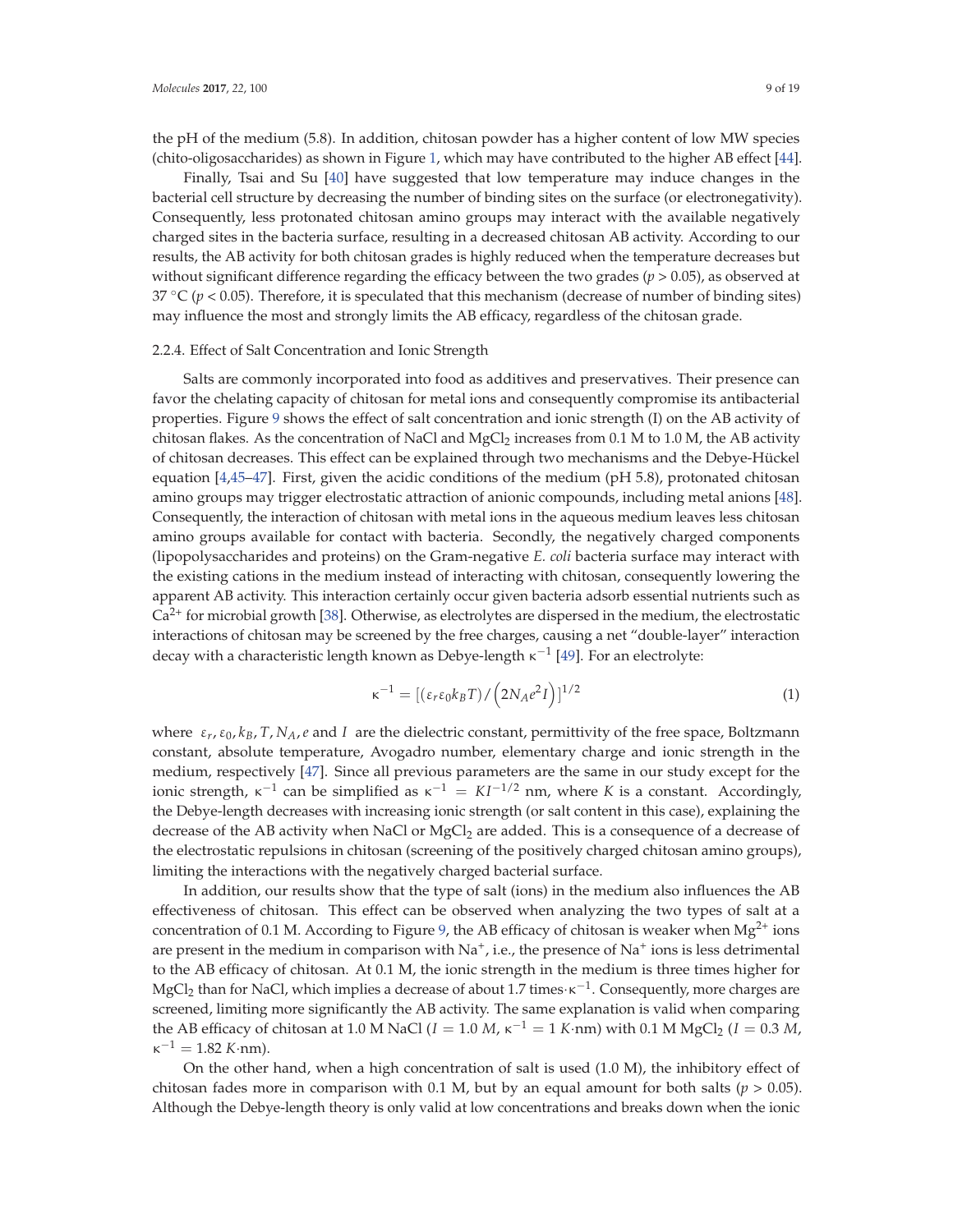the pH of the medium (5.8). In addition, chitosan powder has a higher content of low MW species (chito-oligosaccharides) as shown in Figure 1, which may have contributed to the higher AB effect [44].

Finally, Tsai and Su [40] have suggested that low temperature may induce changes in the bacterial cell structure by decreasing the number of binding sites on the surface (or electronegativity). Consequently, less protonated chitosan amino groups may interact with the available negatively charged sites in the bacteria surface, resulting in a decreased chitosan AB activity. According to our results, the AB activity for both chitosan grades is highly reduced when the temperature decreases but without significant difference regarding the efficacy between the two grades (*p* > 0.05), as observed at 37  $\rm{^{\circ}C}$  ( $p$  < 0.05). Therefore, it is speculated that this mechanism (decrease of number of binding sites) may influence the most and strongly limits the AB efficacy, regardless of the chitosan grade.

## 2.2.4. Effect of Salt Concentration and Ionic Strength

Salts are commonly incorporated into food as additives and preservatives. Their presence can favor the chelating capacity of chitosan for metal ions and consequently compromise its antibacterial properties. Figure 9 shows the effect of salt concentration and ionic strength (I) on the AB activity of chitosan flakes. As the concentration of NaCl and MgCl<sub>2</sub> increases from 0.1 M to 1.0 M, the AB activity of chitosan decreases. This effect can be explained through two mechanisms and the Debye-Hückel equation [4,45–47]. First, given the acidic conditions of the medium (pH 5.8), protonated chitosan amino groups may trigger electrostatic attraction of anionic compounds, including metal anions [48]. Consequently, the interaction of chitosan with metal ions in the aqueous medium leaves less chitosan amino groups available for contact with bacteria. Secondly, the negatively charged components (lipopolysaccharides and proteins) on the Gram-negative *E. coli* bacteria surface may interact with the existing cations in the medium instead of interacting with chitosan, consequently lowering the apparent AB activity. This interaction certainly occur given bacteria adsorb essential nutrients such as  $Ca<sup>2+</sup>$  for microbial growth [38]. Otherwise, as electrolytes are dispersed in the medium, the electrostatic interactions of chitosan may be screened by the free charges, causing a net "double-layer" interaction decay with a characteristic length known as Debye-length  $\kappa^{-1}$  [49]. For an electrolyte:

$$
\kappa^{-1} = [(\varepsilon_r \varepsilon_0 k_B T) / (2N_A e^2 I)]^{1/2}
$$
\n(1)

where  $\varepsilon_r$ ,  $\varepsilon_0$ ,  $k_B$ ,  $T$ ,  $N_A$ ,  $e$  and  $I$  are the dielectric constant, permittivity of the free space, Boltzmann constant, absolute temperature, Avogadro number, elementary charge and ionic strength in the medium, respectively [47]. Since all previous parameters are the same in our study except for the ionic strength,  $\kappa^{-1}$  can be simplified as  $\kappa^{-1} = K I^{-1/2}$  nm, where *K* is a constant. Accordingly, the Debye-length decreases with increasing ionic strength (or salt content in this case), explaining the decrease of the AB activity when NaCl or  $MgCl<sub>2</sub>$  are added. This is a consequence of a decrease of the electrostatic repulsions in chitosan (screening of the positively charged chitosan amino groups), limiting the interactions with the negatively charged bacterial surface.

In addition, our results show that the type of salt (ions) in the medium also influences the AB effectiveness of chitosan. This effect can be observed when analyzing the two types of salt at a concentration of 0.1 M. According to Figure 9, the AB efficacy of chitosan is weaker when  $Mg^{2+}$  ions are present in the medium in comparison with  $Na<sup>+</sup>$ , i.e., the presence of  $Na<sup>+</sup>$  ions is less detrimental to the AB efficacy of chitosan. At 0.1 M, the ionic strength in the medium is three times higher for MgCl<sub>2</sub> than for NaCl, which implies a decrease of about 1.7 times· $\kappa^{-1}$ . Consequently, more charges are screened, limiting more significantly the AB activity. The same explanation is valid when comparing the AB efficacy of chitosan at 1.0 M NaCl ( $I = 1.0 M$ ,  $\kappa^{-1} = 1 K$ ·nm) with 0.1 M MgCl<sub>2</sub> ( $I = 0.3 M$ ,  $\kappa^{-1} = 1.82$  *K*·nm).

On the other hand, when a high concentration of salt is used (1.0 M), the inhibitory effect of chitosan fades more in comparison with 0.1 M, but by an equal amount for both salts ( $p > 0.05$ ). Although the Debye-length theory is only valid at low concentrations and breaks down when the ionic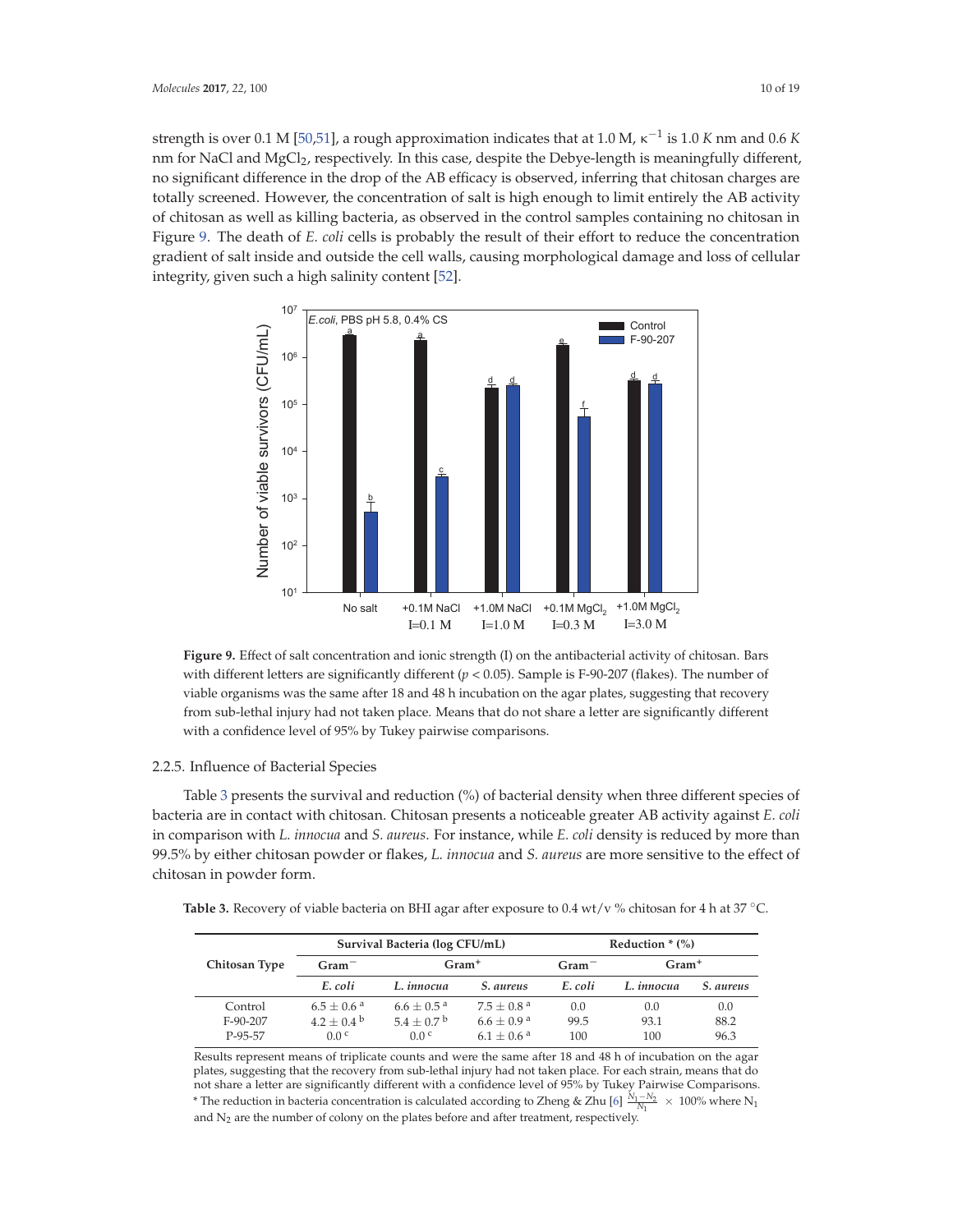strength is over 0.1 M [50,51], a rough approximation indicates that at 1.0 M,  $\kappa^{-1}$  is 1.0 *K* nm and 0.6 *K* nm for NaCl and MgCl<sub>2</sub>, respectively. In this case, despite the Debye-length is meaningfully different, no significant difference in the drop of the AB efficacy is observed, inferring that chitosan charges are totally screened. However, the concentration of salt is high enough to limit entirely the AB activity of chitosan as well as killing bacteria, as observed in the control samples containing no chitosan in Figure 9. The death of *E. coli* cells is probably the result of their effort to reduce the concentration gradient of salt inside and outside the cell walls, causing morphological damage and loss of cellular integrity, given such a high salinity content [52].



**Figure 9.** Effect of salt concentration and ionic strength (I) on the antibacterial activity of chitosan. Bars with different letters are significantly different  $(p < 0.05)$ . Sample is F-90-207 (flakes). The number of viable organisms was the same after 18 and 48 h incubation on the agar plates, suggesting that recovery from sub-lethal injury had not taken place. Means that do not share a letter are significantly different with a confidence level of 95% by Tukey pairwise comparisons.

## 2.2.5. Influence of Bacterial Species

Table 3 presents the survival and reduction (%) of bacterial density when three different species of bacteria are in contact with chitosan. Chitosan presents a noticeable greater AB activity against *E. coli* in comparison with *L. innocua* and *S. aureus*. For instance, while *E. coli* density is reduced by more than 99.5% by either chitosan powder or flakes, *L. innocua* and *S. aureus* are more sensitive to the effect of chitosan in powder form.

**Table 3.** Recovery of viable bacteria on BHI agar after exposure to 0.4 wt/v % chitosan for 4 h at 37 ◦C.

|               |                       | Survival Bacteria (log CFU/mL) |                        | Reduction $*(\%)$ |            |           |  |
|---------------|-----------------------|--------------------------------|------------------------|-------------------|------------|-----------|--|
| Chitosan Type | $Gram^-$              | $Gram+$                        |                        | $Gram^-$          | $Gram+$    |           |  |
|               | E. coli               | L. innocua                     | <i>S. aureus</i>       | E. coli           | L. innocua | S. aureus |  |
| Control       | $6.5 + 0.6^{\circ}$   | $6.6 + 0.5^{\text{a}}$         | $7.5 + 0.8^{\text{a}}$ | 0.0               | 0.0        | 0.0       |  |
| $F-90-207$    | $4.2 \pm 0.4^{\circ}$ | $5.4 + 0.7^{\mathrm{b}}$       | $6.6 + 0.9a$           | 99.5              | 93.1       | 88.2      |  |
| P-95-57       | 0.0 <sup>c</sup>      | 0.0 <sup>c</sup>               | $6.1 + 0.6^{\text{a}}$ | 100               | 100        | 96.3      |  |

Results represent means of triplicate counts and were the same after 18 and 48 h of incubation on the agar plates, suggesting that the recovery from sub-lethal injury had not taken place. For each strain, means that do not share a letter are significantly different with a confidence level of 95% by Tukey Pairwise Comparisons. <sup>\*</sup> The reduction in bacteria concentration is calculated according to Zheng & Zhu [6]  $\frac{N_1-N_2}{N_1}$  × 100% where N<sub>1</sub> and  $N_2$  are the number of colony on the plates before and after treatment, respectively.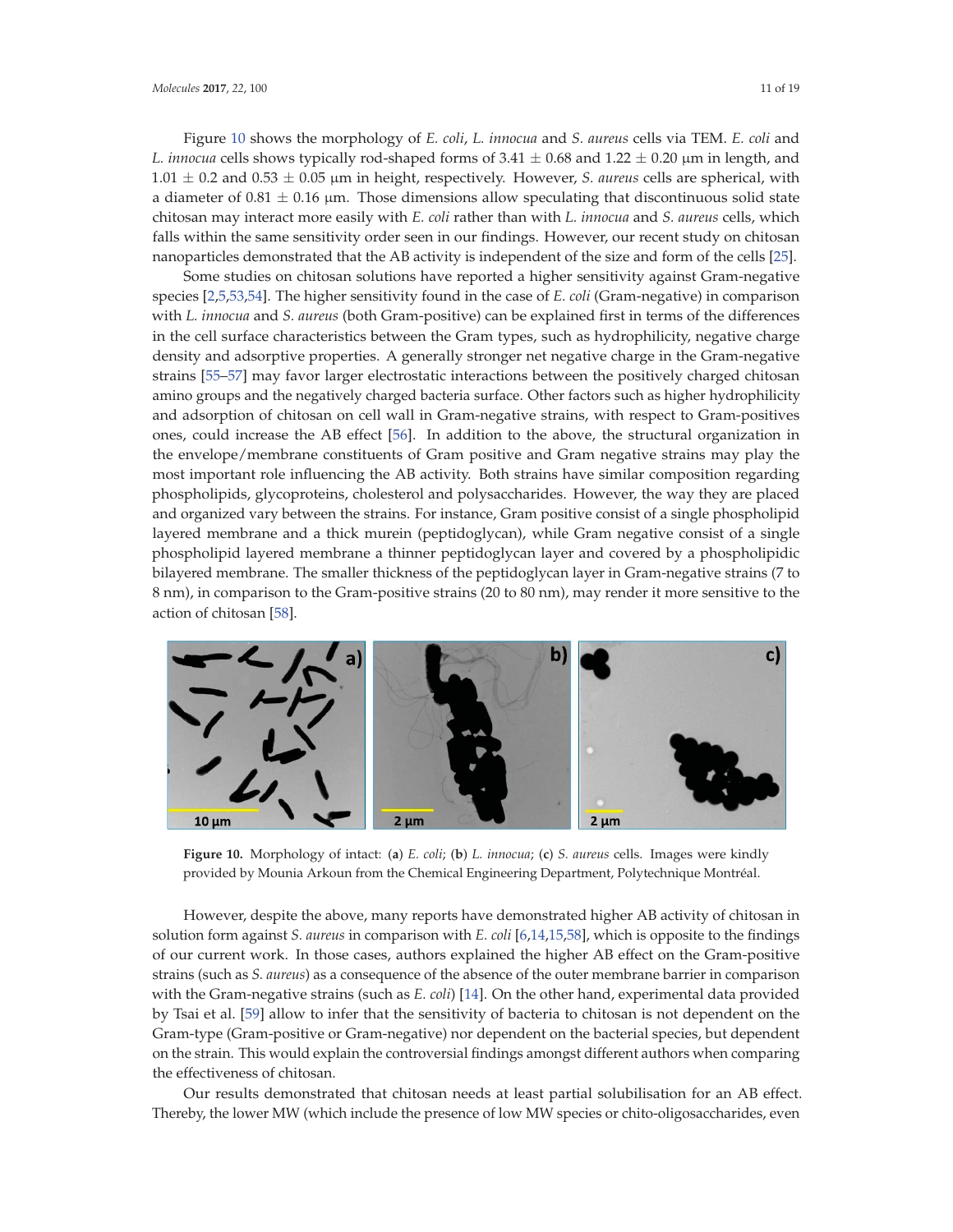Figure 10 shows the morphology of *E. coli*, *L. innocua* and *S. aureus* cells via TEM. *E. coli* and *L. innocua* cells shows typically rod-shaped forms of  $3.41 \pm 0.68$  and  $1.22 \pm 0.20$  µm in length, and  $1.01 \pm 0.2$  and  $0.53 \pm 0.05$   $\mu$ m in height, respectively. However, *S. aureus* cells are spherical, with a diameter of  $0.81 \pm 0.16$  µm. Those dimensions allow speculating that discontinuous solid state chitosan may interact more easily with *E. coli* rather than with *L. innocua* and *S. aureus* cells, which falls within the same sensitivity order seen in our findings. However, our recent study on chitosan nanoparticles demonstrated that the AB activity is independent of the size and form of the cells [25].

Some studies on chitosan solutions have reported a higher sensitivity against Gram-negative species [2,5,53,54]. The higher sensitivity found in the case of *E. coli* (Gram-negative) in comparison with *L. innocua* and *S. aureus* (both Gram-positive) can be explained first in terms of the differences in the cell surface characteristics between the Gram types, such as hydrophilicity, negative charge density and adsorptive properties. A generally stronger net negative charge in the Gram-negative strains [55–57] may favor larger electrostatic interactions between the positively charged chitosan amino groups and the negatively charged bacteria surface. Other factors such as higher hydrophilicity and adsorption of chitosan on cell wall in Gram-negative strains, with respect to Gram-positives ones, could increase the AB effect [56]. In addition to the above, the structural organization in the envelope/membrane constituents of Gram positive and Gram negative strains may play the most important role influencing the AB activity. Both strains have similar composition regarding phospholipids, glycoproteins, cholesterol and polysaccharides. However, the way they are placed and organized vary between the strains. For instance, Gram positive consist of a single phospholipid layered membrane and a thick murein (peptidoglycan), while Gram negative consist of a single phospholipid layered membrane a thinner peptidoglycan layer and covered by a phospholipidic bilayered membrane. The smaller thickness of the peptidoglycan layer in Gram-negative strains (7 to 8 nm), in comparison to the Gram-positive strains (20 to 80 nm), may render it more sensitive to the action of chitosan [58].



**Figure 10.** Morphology of intact: (**a**) *E. coli*; (**b**) *L. innocua*; (**c**) *S. aureus* cells. Images were kindly provided by Mounia Arkoun from the Chemical Engineering Department, Polytechnique Montréal.

However, despite the above, many reports have demonstrated higher AB activity of chitosan in solution form against *S. aureus* in comparison with *E. coli* [6,14,15,58], which is opposite to the findings of our current work. In those cases, authors explained the higher AB effect on the Gram-positive strains (such as *S. aureus*) as a consequence of the absence of the outer membrane barrier in comparison with the Gram-negative strains (such as *E. coli*) [14]. On the other hand, experimental data provided by Tsai et al. [59] allow to infer that the sensitivity of bacteria to chitosan is not dependent on the Gram-type (Gram-positive or Gram-negative) nor dependent on the bacterial species, but dependent on the strain. This would explain the controversial findings amongst different authors when comparing the effectiveness of chitosan.

Our results demonstrated that chitosan needs at least partial solubilisation for an AB effect. Thereby, the lower MW (which include the presence of low MW species or chito-oligosaccharides, even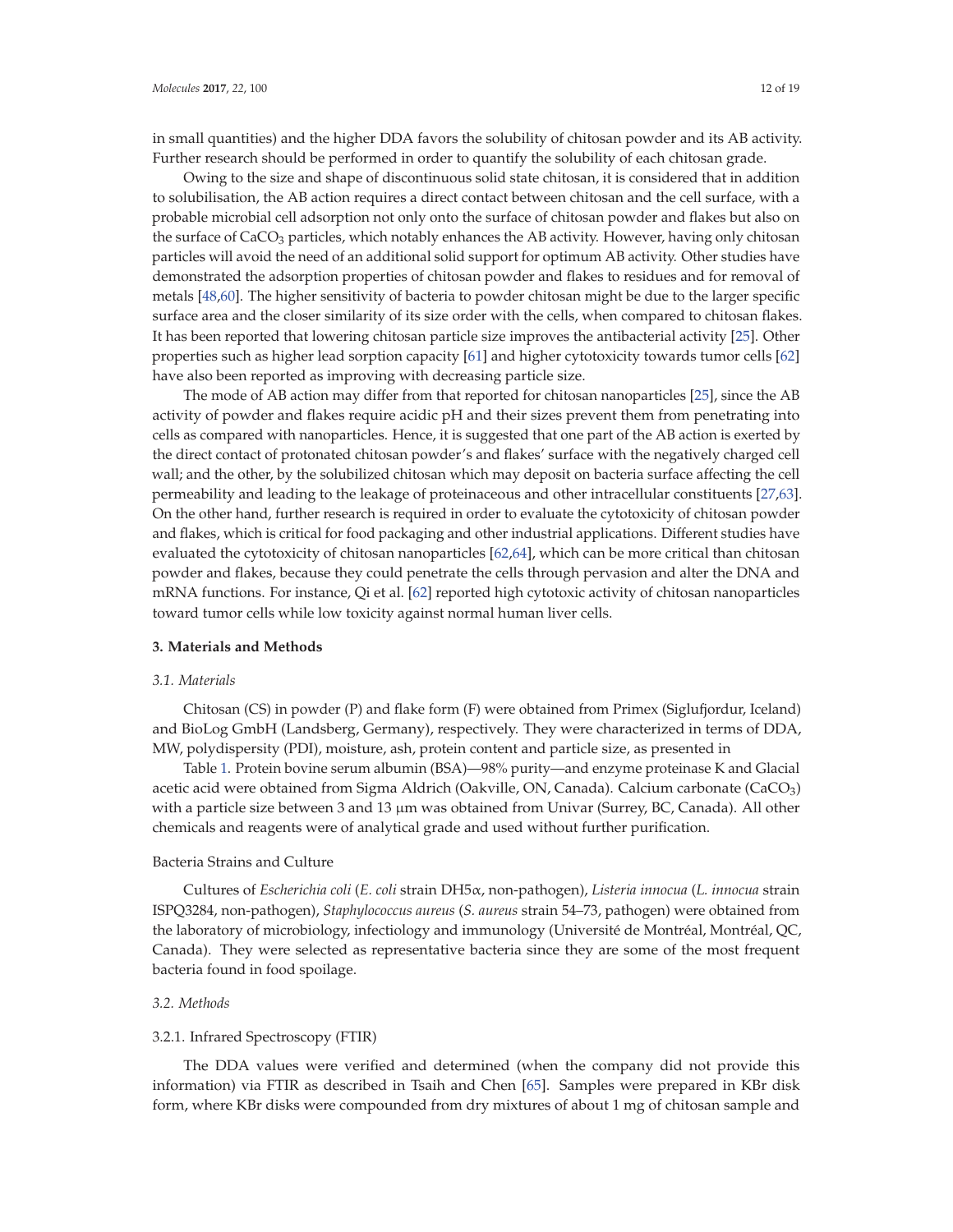in small quantities) and the higher DDA favors the solubility of chitosan powder and its AB activity. Further research should be performed in order to quantify the solubility of each chitosan grade.

Owing to the size and shape of discontinuous solid state chitosan, it is considered that in addition to solubilisation, the AB action requires a direct contact between chitosan and the cell surface, with a probable microbial cell adsorption not only onto the surface of chitosan powder and flakes but also on the surface of CaCO<sub>3</sub> particles, which notably enhances the AB activity. However, having only chitosan particles will avoid the need of an additional solid support for optimum AB activity. Other studies have demonstrated the adsorption properties of chitosan powder and flakes to residues and for removal of metals [48,60]. The higher sensitivity of bacteria to powder chitosan might be due to the larger specific surface area and the closer similarity of its size order with the cells, when compared to chitosan flakes. It has been reported that lowering chitosan particle size improves the antibacterial activity [25]. Other properties such as higher lead sorption capacity [61] and higher cytotoxicity towards tumor cells [62] have also been reported as improving with decreasing particle size.

The mode of AB action may differ from that reported for chitosan nanoparticles [25], since the AB activity of powder and flakes require acidic pH and their sizes prevent them from penetrating into cells as compared with nanoparticles. Hence, it is suggested that one part of the AB action is exerted by the direct contact of protonated chitosan powder's and flakes' surface with the negatively charged cell wall; and the other, by the solubilized chitosan which may deposit on bacteria surface affecting the cell permeability and leading to the leakage of proteinaceous and other intracellular constituents [27,63]. On the other hand, further research is required in order to evaluate the cytotoxicity of chitosan powder and flakes, which is critical for food packaging and other industrial applications. Different studies have evaluated the cytotoxicity of chitosan nanoparticles [62,64], which can be more critical than chitosan powder and flakes, because they could penetrate the cells through pervasion and alter the DNA and mRNA functions. For instance, Qi et al. [62] reported high cytotoxic activity of chitosan nanoparticles toward tumor cells while low toxicity against normal human liver cells.

## **3. Materials and Methods**

#### *3.1. Materials*

Chitosan (CS) in powder (P) and flake form (F) were obtained from Primex (Siglufjordur, Iceland) and BioLog GmbH (Landsberg, Germany), respectively. They were characterized in terms of DDA, MW, polydispersity (PDI), moisture, ash, protein content and particle size, as presented in

Table 1. Protein bovine serum albumin (BSA)—98% purity—and enzyme proteinase K and Glacial acetic acid were obtained from Sigma Aldrich (Oakville, ON, Canada). Calcium carbonate (CaCO3) with a particle size between 3 and 13 μm was obtained from Univar (Surrey, BC, Canada). All other chemicals and reagents were of analytical grade and used without further purification.

## Bacteria Strains and Culture

Cultures of *Escherichia coli* (*E. coli* strain DH5α, non-pathogen), *Listeria innocua* (*L. innocua* strain ISPQ3284, non-pathogen), *Staphylococcus aureus* (*S. aureus* strain 54–73, pathogen) were obtained from the laboratory of microbiology, infectiology and immunology (Université de Montréal, Montréal, QC, Canada). They were selected as representative bacteria since they are some of the most frequent bacteria found in food spoilage.

## *3.2. Methods*

#### 3.2.1. Infrared Spectroscopy (FTIR)

The DDA values were verified and determined (when the company did not provide this information) via FTIR as described in Tsaih and Chen [65]. Samples were prepared in KBr disk form, where KBr disks were compounded from dry mixtures of about 1 mg of chitosan sample and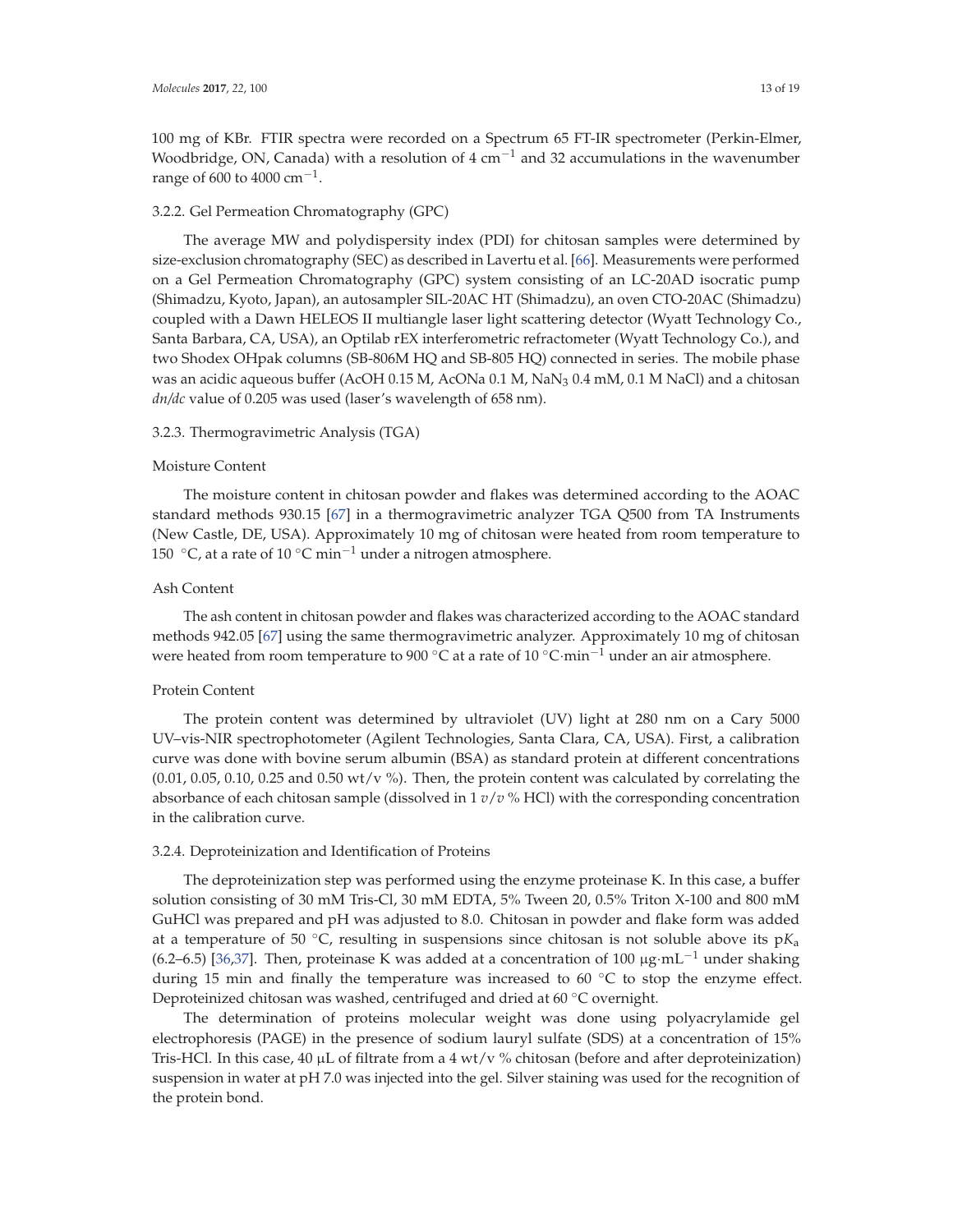100 mg of KBr. FTIR spectra were recorded on a Spectrum 65 FT-IR spectrometer (Perkin-Elmer, Woodbridge, ON, Canada) with a resolution of  $4 \text{ cm}^{-1}$  and 32 accumulations in the wavenumber range of 600 to 4000 cm<sup>-1</sup>.

#### 3.2.2. Gel Permeation Chromatography (GPC)

The average MW and polydispersity index (PDI) for chitosan samples were determined by size-exclusion chromatography (SEC) as described in Lavertu et al. [66]. Measurements were performed on a Gel Permeation Chromatography (GPC) system consisting of an LC-20AD isocratic pump (Shimadzu, Kyoto, Japan), an autosampler SIL-20AC HT (Shimadzu), an oven CTO-20AC (Shimadzu) coupled with a Dawn HELEOS II multiangle laser light scattering detector (Wyatt Technology Co., Santa Barbara, CA, USA), an Optilab rEX interferometric refractometer (Wyatt Technology Co.), and two Shodex OHpak columns (SB-806M HQ and SB-805 HQ) connected in series. The mobile phase was an acidic aqueous buffer (AcOH  $0.15$  M, AcONa  $0.1$  M, NaN $_3$   $0.4$  mM,  $0.1$  M NaCl) and a chitosan *dn/dc* value of 0.205 was used (laser's wavelength of 658 nm).

#### 3.2.3. Thermogravimetric Analysis (TGA)

#### Moisture Content

The moisture content in chitosan powder and flakes was determined according to the AOAC standard methods 930.15 [67] in a thermogravimetric analyzer TGA Q500 from TA Instruments (New Castle, DE, USA). Approximately 10 mg of chitosan were heated from room temperature to 150  $\degree$ C, at a rate of 10  $\degree$ C min<sup>-1</sup> under a nitrogen atmosphere.

## Ash Content

The ash content in chitosan powder and flakes was characterized according to the AOAC standard methods 942.05 [67] using the same thermogravimetric analyzer. Approximately 10 mg of chitosan were heated from room temperature to 900 °C at a rate of 10 °C·min<sup>-1</sup> under an air atmosphere.

## Protein Content

The protein content was determined by ultraviolet (UV) light at 280 nm on a Cary 5000 UV–vis-NIR spectrophotometer (Agilent Technologies, Santa Clara, CA, USA). First, a calibration curve was done with bovine serum albumin (BSA) as standard protein at different concentrations  $(0.01, 0.05, 0.10, 0.25$  and  $0.50$  wt/v %). Then, the protein content was calculated by correlating the absorbance of each chitosan sample (dissolved in 1 *v*/*v* % HCl) with the corresponding concentration in the calibration curve.

#### 3.2.4. Deproteinization and Identification of Proteins

The deproteinization step was performed using the enzyme proteinase K. In this case, a buffer solution consisting of 30 mM Tris-Cl, 30 mM EDTA, 5% Tween 20, 0.5% Triton X-100 and 800 mM GuHCl was prepared and pH was adjusted to 8.0. Chitosan in powder and flake form was added at a temperature of 50  $\degree$ C, resulting in suspensions since chitosan is not soluble above its  $pK_a$ (6.2–6.5) [36,37]. Then, proteinase K was added at a concentration of 100  $\mu$ g·mL<sup>-1</sup> under shaking during 15 min and finally the temperature was increased to 60  $\degree$ C to stop the enzyme effect. Deproteinized chitosan was washed, centrifuged and dried at 60 ℃ overnight.

The determination of proteins molecular weight was done using polyacrylamide gel electrophoresis (PAGE) in the presence of sodium lauryl sulfate (SDS) at a concentration of 15% Tris-HCl. In this case, 40  $\mu$ L of filtrate from a 4 wt/v % chitosan (before and after deproteinization) suspension in water at pH 7.0 was injected into the gel. Silver staining was used for the recognition of the protein bond.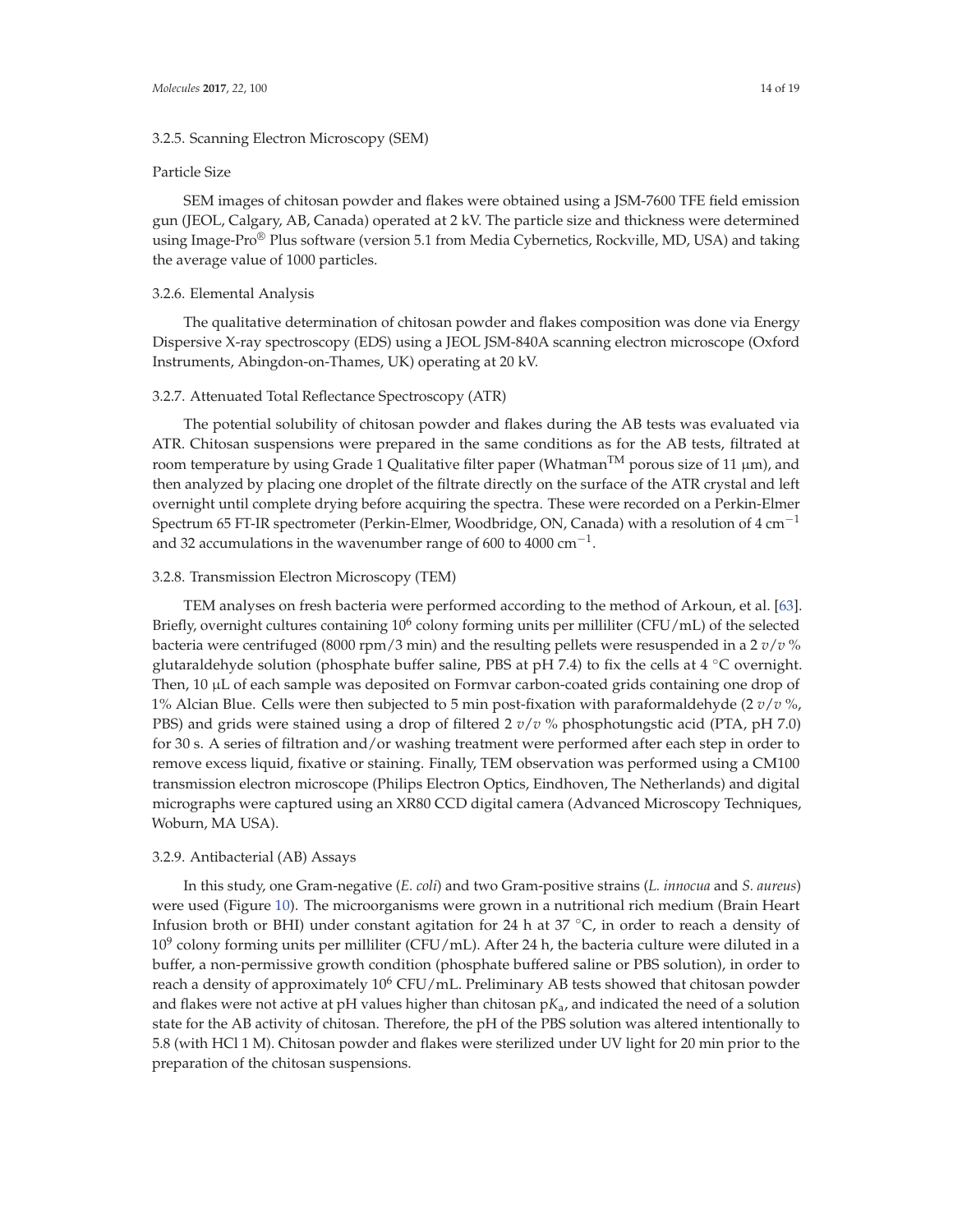#### 3.2.5. Scanning Electron Microscopy (SEM)

## Particle Size

SEM images of chitosan powder and flakes were obtained using a JSM-7600 TFE field emission gun (JEOL, Calgary, AB, Canada) operated at 2 kV. The particle size and thickness were determined using Image-Pro<sup>®</sup> Plus software (version 5.1 from Media Cybernetics, Rockville, MD, USA) and taking the average value of 1000 particles.

#### 3.2.6. Elemental Analysis

The qualitative determination of chitosan powder and flakes composition was done via Energy Dispersive X-ray spectroscopy (EDS) using a JEOL JSM-840A scanning electron microscope (Oxford Instruments, Abingdon-on-Thames, UK) operating at 20 kV.

#### 3.2.7. Attenuated Total Reflectance Spectroscopy (ATR)

The potential solubility of chitosan powder and flakes during the AB tests was evaluated via ATR. Chitosan suspensions were prepared in the same conditions as for the AB tests, filtrated at room temperature by using Grade 1 Qualitative filter paper (Whatman<sup>TM</sup> porous size of 11  $\mu$ m), and then analyzed by placing one droplet of the filtrate directly on the surface of the ATR crystal and left overnight until complete drying before acquiring the spectra. These were recorded on a Perkin-Elmer Spectrum 65 FT-IR spectrometer (Perkin-Elmer, Woodbridge, ON, Canada) with a resolution of  $4 \text{ cm}^{-1}$ and 32 accumulations in the wavenumber range of 600 to 4000 cm<sup>-1</sup>.

#### 3.2.8. Transmission Electron Microscopy (TEM)

TEM analyses on fresh bacteria were performed according to the method of Arkoun, et al. [63]. Briefly, overnight cultures containing  $10^6$  colony forming units per milliliter (CFU/mL) of the selected bacteria were centrifuged (8000 rpm/3 min) and the resulting pellets were resuspended in a 2 *v*/*v* % glutaraldehyde solution (phosphate buffer saline, PBS at pH 7.4) to fix the cells at 4 °C overnight. Then, 10 μL of each sample was deposited on Formvar carbon-coated grids containing one drop of 1% Alcian Blue. Cells were then subjected to 5 min post-fixation with paraformaldehyde (2 *v*/*v* %, PBS) and grids were stained using a drop of filtered 2 *v*/*v* % phosphotungstic acid (PTA, pH 7.0) for 30 s. A series of filtration and/or washing treatment were performed after each step in order to remove excess liquid, fixative or staining. Finally, TEM observation was performed using a CM100 transmission electron microscope (Philips Electron Optics, Eindhoven, The Netherlands) and digital micrographs were captured using an XR80 CCD digital camera (Advanced Microscopy Techniques, Woburn, MA USA).

#### 3.2.9. Antibacterial (AB) Assays

In this study, one Gram-negative (*E. coli*) and two Gram-positive strains (*L. innocua* and *S. aureus*) were used (Figure 10). The microorganisms were grown in a nutritional rich medium (Brain Heart Infusion broth or BHI) under constant agitation for 24 h at  $37 \degree C$ , in order to reach a density of  $10^9$  colony forming units per milliliter (CFU/mL). After 24 h, the bacteria culture were diluted in a buffer, a non-permissive growth condition (phosphate buffered saline or PBS solution), in order to reach a density of approximately  $10^6$  CFU/mL. Preliminary AB tests showed that chitosan powder and flakes were not active at pH values higher than chitosan p*K*a, and indicated the need of a solution state for the AB activity of chitosan. Therefore, the pH of the PBS solution was altered intentionally to 5.8 (with HCl 1 M). Chitosan powder and flakes were sterilized under UV light for 20 min prior to the preparation of the chitosan suspensions.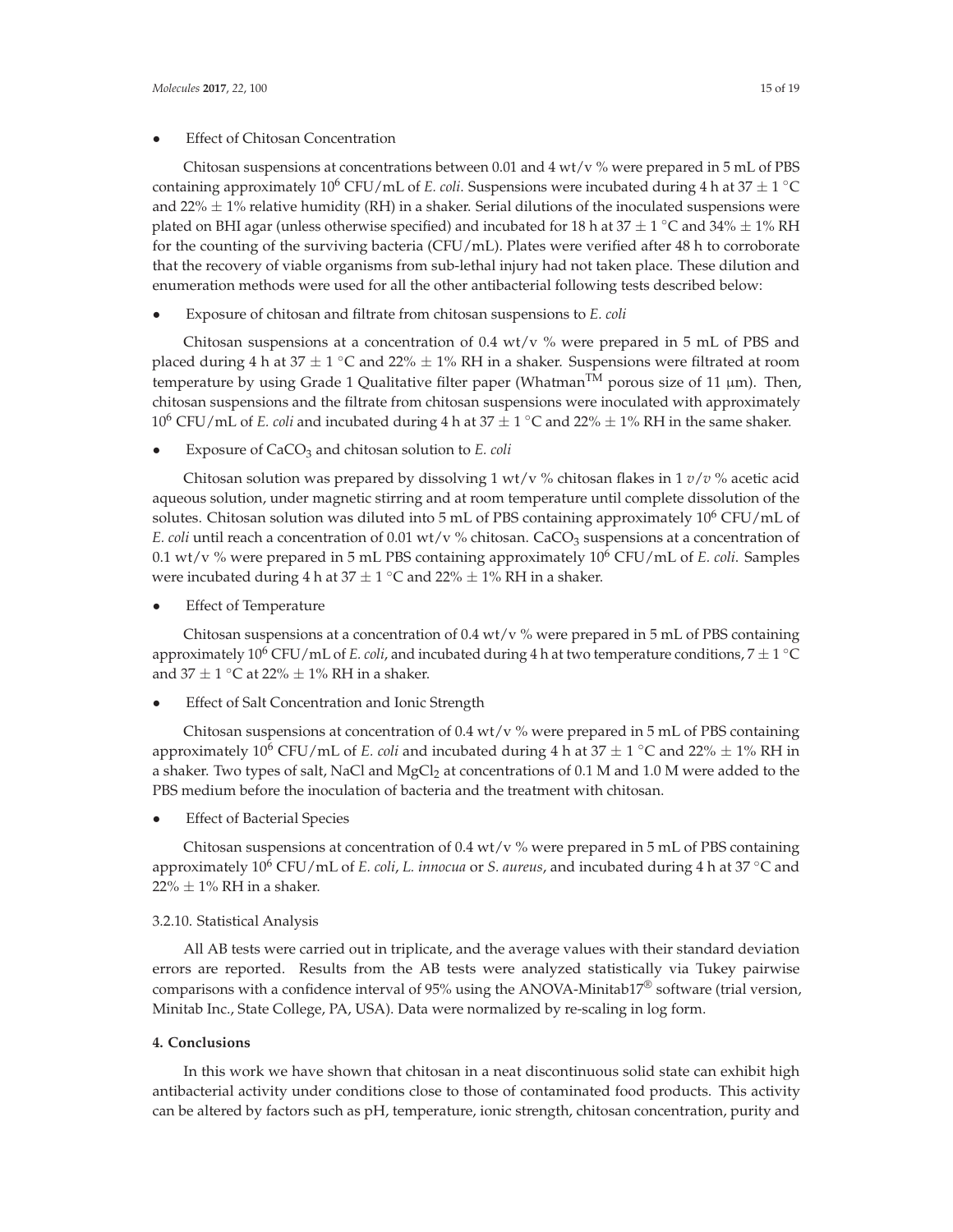## **Effect of Chitosan Concentration**

Chitosan suspensions at concentrations between 0.01 and 4 wt/v  $%$  were prepared in 5 mL of PBS containing approximately 10<sup>6</sup> CFU/mL of *E. coli*. Suspensions were incubated during 4 h at 37  $\pm$  1 <sup>°</sup>C and 22%  $\pm$  1% relative humidity (RH) in a shaker. Serial dilutions of the inoculated suspensions were plated on BHI agar (unless otherwise specified) and incubated for 18 h at  $37 \pm 1$  °C and  $34\% \pm 1\%$  RH for the counting of the surviving bacteria (CFU/mL). Plates were verified after 48 h to corroborate that the recovery of viable organisms from sub-lethal injury had not taken place. These dilution and enumeration methods were used for all the other antibacterial following tests described below:

• Exposure of chitosan and filtrate from chitosan suspensions to *E. coli*

Chitosan suspensions at a concentration of 0.4 wt/v  $%$  were prepared in 5 mL of PBS and placed during 4 h at  $37 \pm 1$  °C and  $22\% \pm 1\%$  RH in a shaker. Suspensions were filtrated at room temperature by using Grade 1 Qualitative filter paper (Whatman<sup>TM</sup> porous size of 11  $\mu$ m). Then, chitosan suspensions and the filtrate from chitosan suspensions were inoculated with approximately 10<sup>6</sup> CFU/mL of *E. coli* and incubated during 4 h at  $37 \pm 1$  °C and  $22\% \pm 1\%$  RH in the same shaker.

• Exposure of CaCO3 and chitosan solution to *E. coli*

Chitosan solution was prepared by dissolving 1 wt/v % chitosan flakes in 1  $v/v$  % acetic acid aqueous solution, under magnetic stirring and at room temperature until complete dissolution of the solutes. Chitosan solution was diluted into 5 mL of PBS containing approximately  $10^6$  CFU/mL of *E. coli* until reach a concentration of 0.01 wt/v % chitosan. CaCO<sub>3</sub> suspensions at a concentration of 0.1 wt/v % were prepared in 5 mL PBS containing approximately 106 CFU/mL of *E. coli*. Samples were incubated during 4 h at  $37 \pm 1$  °C and  $22\% \pm 1\%$  RH in a shaker.

**Effect of Temperature** 

Chitosan suspensions at a concentration of 0.4 wt/v  $\%$  were prepared in 5 mL of PBS containing approximately 10<sup>6</sup> CFU/mL of *E. coli*, and incubated during 4 h at two temperature conditions,  $7 \pm 1\degree C$ and 37  $\pm$  1 °C at 22%  $\pm$  1% RH in a shaker.

**Effect of Salt Concentration and Ionic Strength** 

Chitosan suspensions at concentration of  $0.4$  wt/v % were prepared in 5 mL of PBS containing approximately 10<sup>6</sup> CFU/mL of *E. coli* and incubated during 4 h at  $37 \pm 1$  °C and  $22\% \pm 1\%$  RH in a shaker. Two types of salt, NaCl and MgCl<sub>2</sub> at concentrations of 0.1 M and 1.0 M were added to the PBS medium before the inoculation of bacteria and the treatment with chitosan.

**Effect of Bacterial Species** 

Chitosan suspensions at concentration of  $0.4$  wt/v % were prepared in 5 mL of PBS containing approximately 106 CFU/mL of *E. coli*, *L. innocua* or *S. aureus*, and incubated during 4 h at 37 ◦C and  $22\% \pm 1\%$  RH in a shaker.

## 3.2.10. Statistical Analysis

All AB tests were carried out in triplicate, and the average values with their standard deviation errors are reported. Results from the AB tests were analyzed statistically via Tukey pairwise comparisons with a confidence interval of 95% using the ANOVA-Minitab17® software (trial version, Minitab Inc., State College, PA, USA). Data were normalized by re-scaling in log form.

## **4. Conclusions**

In this work we have shown that chitosan in a neat discontinuous solid state can exhibit high antibacterial activity under conditions close to those of contaminated food products. This activity can be altered by factors such as pH, temperature, ionic strength, chitosan concentration, purity and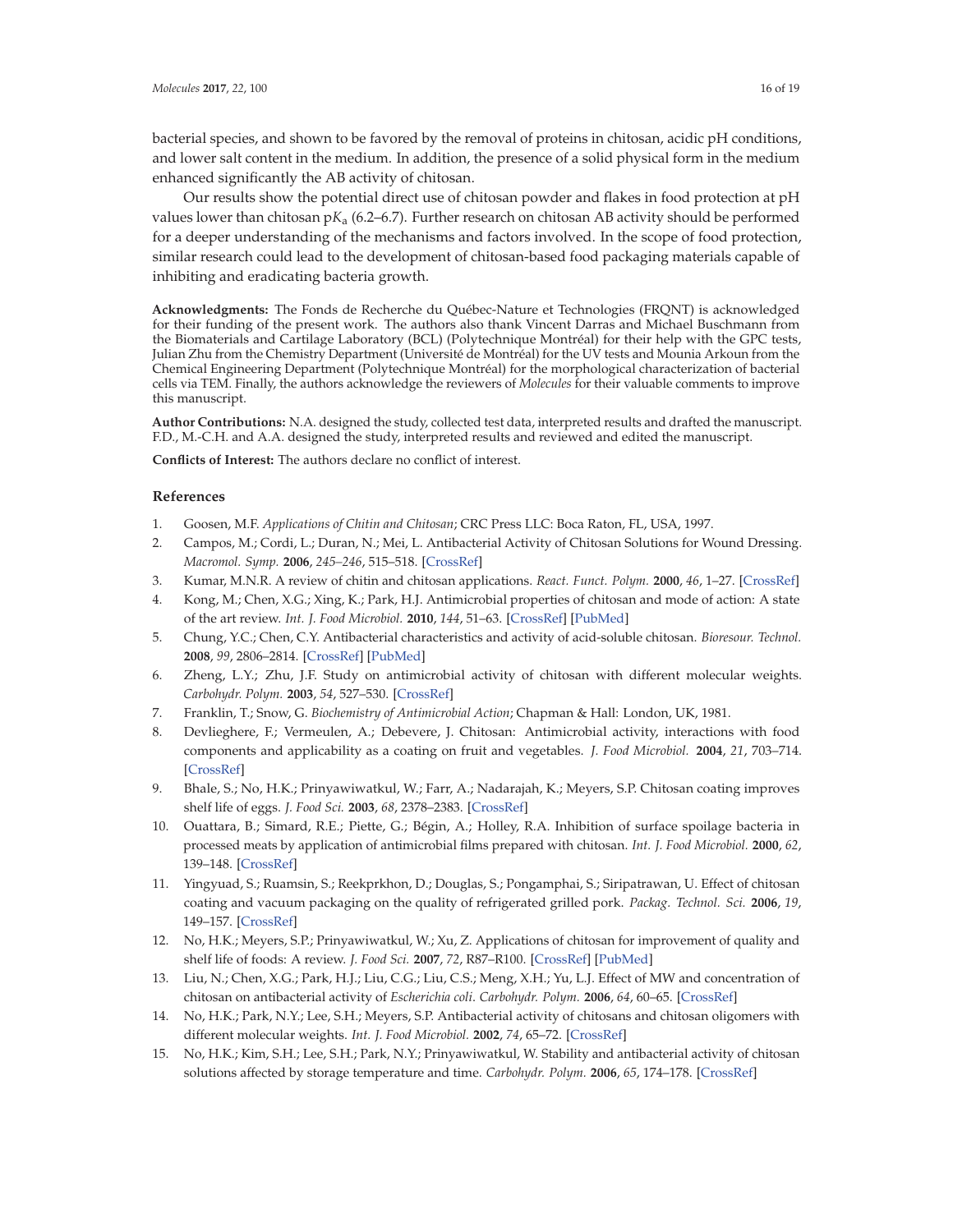bacterial species, and shown to be favored by the removal of proteins in chitosan, acidic pH conditions, and lower salt content in the medium. In addition, the presence of a solid physical form in the medium enhanced significantly the AB activity of chitosan.

Our results show the potential direct use of chitosan powder and flakes in food protection at pH values lower than chitosan p*K*a (6.2–6.7). Further research on chitosan AB activity should be performed for a deeper understanding of the mechanisms and factors involved. In the scope of food protection, similar research could lead to the development of chitosan-based food packaging materials capable of inhibiting and eradicating bacteria growth.

**Acknowledgments:** The Fonds de Recherche du Québec-Nature et Technologies (FRQNT) is acknowledged for their funding of the present work. The authors also thank Vincent Darras and Michael Buschmann from the Biomaterials and Cartilage Laboratory (BCL) (Polytechnique Montréal) for their help with the GPC tests, Julian Zhu from the Chemistry Department (Université de Montréal) for the UV tests and Mounia Arkoun from the Chemical Engineering Department (Polytechnique Montréal) for the morphological characterization of bacterial cells via TEM. Finally, the authors acknowledge the reviewers of *Molecules* for their valuable comments to improve this manuscript.

**Author Contributions:** N.A. designed the study, collected test data, interpreted results and drafted the manuscript. F.D., M.-C.H. and A.A. designed the study, interpreted results and reviewed and edited the manuscript.

**Conflicts of Interest:** The authors declare no conflict of interest.

## **References**

- 1. Goosen, M.F. *Applications of Chitin and Chitosan*; CRC Press LLC: Boca Raton, FL, USA, 1997.
- 2. Campos, M.; Cordi, L.; Duran, N.; Mei, L. Antibacterial Activity of Chitosan Solutions for Wound Dressing. *Macromol. Symp.* **2006**, *245–246*, 515–518. [CrossRef]
- 3. Kumar, M.N.R. A review of chitin and chitosan applications. *React. Funct. Polym.* **2000**, *46*, 1–27. [CrossRef]
- 4. Kong, M.; Chen, X.G.; Xing, K.; Park, H.J. Antimicrobial properties of chitosan and mode of action: A state of the art review. *Int. J. Food Microbiol.* **2010**, *144*, 51–63. [CrossRef] [PubMed]
- 5. Chung, Y.C.; Chen, C.Y. Antibacterial characteristics and activity of acid-soluble chitosan. *Bioresour. Technol.* **2008**, *99*, 2806–2814. [CrossRef] [PubMed]
- 6. Zheng, L.Y.; Zhu, J.F. Study on antimicrobial activity of chitosan with different molecular weights. *Carbohydr. Polym.* **2003**, *54*, 527–530. [CrossRef]
- 7. Franklin, T.; Snow, G. *Biochemistry of Antimicrobial Action*; Chapman & Hall: London, UK, 1981.
- 8. Devlieghere, F.; Vermeulen, A.; Debevere, J. Chitosan: Antimicrobial activity, interactions with food components and applicability as a coating on fruit and vegetables. *J. Food Microbiol.* **2004**, *21*, 703–714. [CrossRef]
- 9. Bhale, S.; No, H.K.; Prinyawiwatkul, W.; Farr, A.; Nadarajah, K.; Meyers, S.P. Chitosan coating improves shelf life of eggs. *J. Food Sci.* **2003**, *68*, 2378–2383. [CrossRef]
- 10. Ouattara, B.; Simard, R.E.; Piette, G.; Bégin, A.; Holley, R.A. Inhibition of surface spoilage bacteria in processed meats by application of antimicrobial films prepared with chitosan. *Int. J. Food Microbiol.* **2000**, *62*, 139–148. [CrossRef]
- 11. Yingyuad, S.; Ruamsin, S.; Reekprkhon, D.; Douglas, S.; Pongamphai, S.; Siripatrawan, U. Effect of chitosan coating and vacuum packaging on the quality of refrigerated grilled pork. *Packag. Technol. Sci.* **2006**, *19*, 149–157. [CrossRef]
- 12. No, H.K.; Meyers, S.P.; Prinyawiwatkul, W.; Xu, Z. Applications of chitosan for improvement of quality and shelf life of foods: A review. *J. Food Sci.* **2007**, *72*, R87–R100. [CrossRef] [PubMed]
- 13. Liu, N.; Chen, X.G.; Park, H.J.; Liu, C.G.; Liu, C.S.; Meng, X.H.; Yu, L.J. Effect of MW and concentration of chitosan on antibacterial activity of *Escherichia coli*. *Carbohydr. Polym.* **2006**, *64*, 60–65. [CrossRef]
- 14. No, H.K.; Park, N.Y.; Lee, S.H.; Meyers, S.P. Antibacterial activity of chitosans and chitosan oligomers with different molecular weights. *Int. J. Food Microbiol.* **2002**, *74*, 65–72. [CrossRef]
- 15. No, H.K.; Kim, S.H.; Lee, S.H.; Park, N.Y.; Prinyawiwatkul, W. Stability and antibacterial activity of chitosan solutions affected by storage temperature and time. *Carbohydr. Polym.* **2006**, *65*, 174–178. [CrossRef]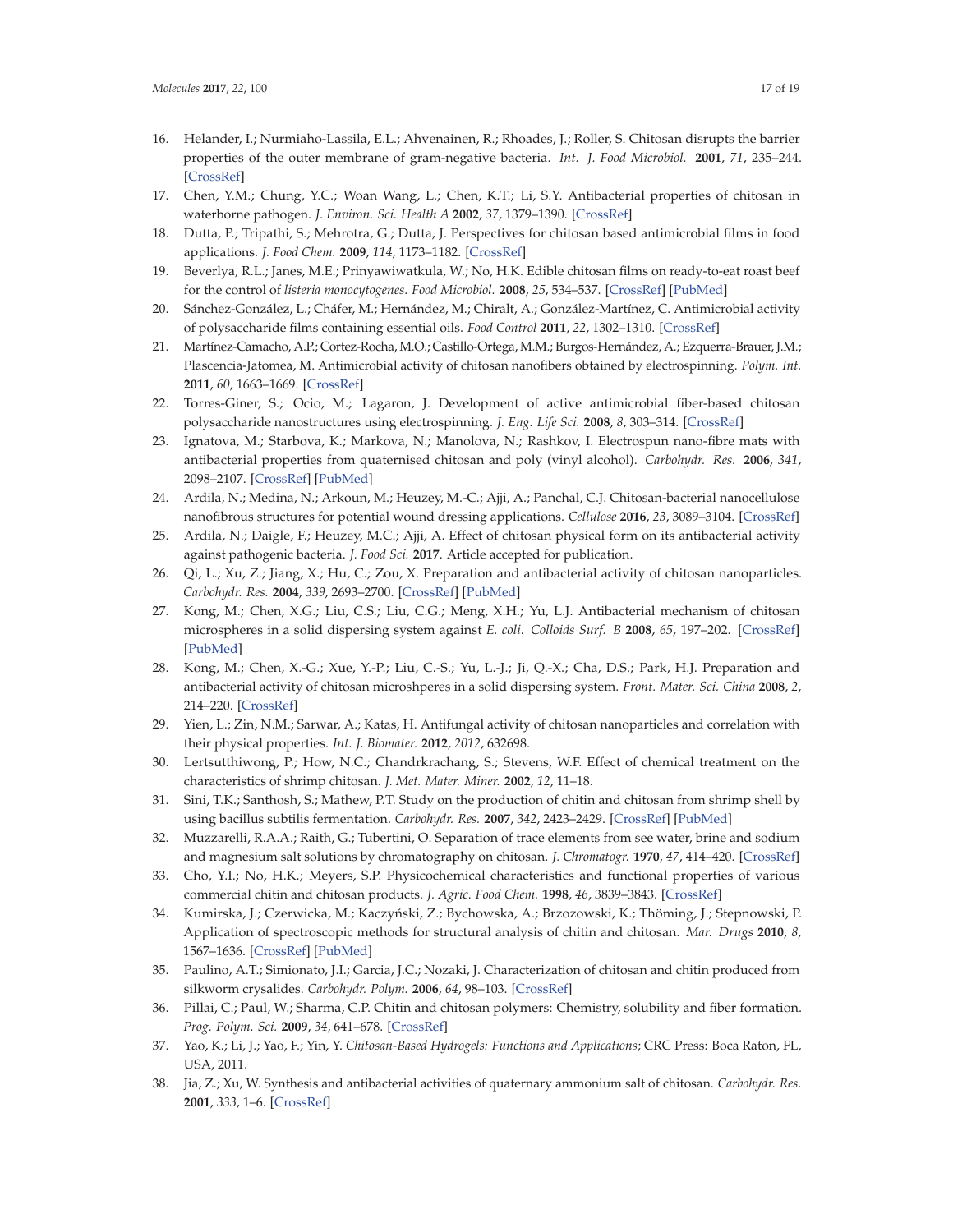- 16. Helander, I.; Nurmiaho-Lassila, E.L.; Ahvenainen, R.; Rhoades, J.; Roller, S. Chitosan disrupts the barrier properties of the outer membrane of gram-negative bacteria. *Int. J. Food Microbiol.* **2001**, *71*, 235–244. [CrossRef]
- 17. Chen, Y.M.; Chung, Y.C.; Woan Wang, L.; Chen, K.T.; Li, S.Y. Antibacterial properties of chitosan in waterborne pathogen. *J. Environ. Sci. Health A* **2002**, *37*, 1379–1390. [CrossRef]
- 18. Dutta, P.; Tripathi, S.; Mehrotra, G.; Dutta, J. Perspectives for chitosan based antimicrobial films in food applications. *J. Food Chem.* **2009**, *114*, 1173–1182. [CrossRef]
- 19. Beverlya, R.L.; Janes, M.E.; Prinyawiwatkula, W.; No, H.K. Edible chitosan films on ready-to-eat roast beef for the control of *listeria monocytogenes*. *Food Microbiol.* **2008**, *25*, 534–537. [CrossRef] [PubMed]
- 20. Sánchez-González, L.; Cháfer, M.; Hernández, M.; Chiralt, A.; González-Martínez, C. Antimicrobial activity of polysaccharide films containing essential oils. *Food Control* **2011**, *22*, 1302–1310. [CrossRef]
- 21. Martínez-Camacho, A.P.; Cortez-Rocha, M.O.; Castillo-Ortega, M.M.; Burgos-Hernández, A.; Ezquerra-Brauer, J.M.; Plascencia-Jatomea, M. Antimicrobial activity of chitosan nanofibers obtained by electrospinning. *Polym. Int.* **2011**, *60*, 1663–1669. [CrossRef]
- 22. Torres-Giner, S.; Ocio, M.; Lagaron, J. Development of active antimicrobial fiber-based chitosan polysaccharide nanostructures using electrospinning. *J. Eng. Life Sci.* **2008**, *8*, 303–314. [CrossRef]
- 23. Ignatova, M.; Starbova, K.; Markova, N.; Manolova, N.; Rashkov, I. Electrospun nano-fibre mats with antibacterial properties from quaternised chitosan and poly (vinyl alcohol). *Carbohydr. Res.* **2006**, *341*, 2098–2107. [CrossRef] [PubMed]
- 24. Ardila, N.; Medina, N.; Arkoun, M.; Heuzey, M.-C.; Ajji, A.; Panchal, C.J. Chitosan-bacterial nanocellulose nanofibrous structures for potential wound dressing applications. *Cellulose* **2016**, *23*, 3089–3104. [CrossRef]
- 25. Ardila, N.; Daigle, F.; Heuzey, M.C.; Ajji, A. Effect of chitosan physical form on its antibacterial activity against pathogenic bacteria. *J. Food Sci.* **2017**. Article accepted for publication.
- 26. Qi, L.; Xu, Z.; Jiang, X.; Hu, C.; Zou, X. Preparation and antibacterial activity of chitosan nanoparticles. *Carbohydr. Res.* **2004**, *339*, 2693–2700. [CrossRef] [PubMed]
- 27. Kong, M.; Chen, X.G.; Liu, C.S.; Liu, C.G.; Meng, X.H.; Yu, L.J. Antibacterial mechanism of chitosan microspheres in a solid dispersing system against *E. coli*. *Colloids Surf. B* **2008**, *65*, 197–202. [CrossRef] [PubMed]
- 28. Kong, M.; Chen, X.-G.; Xue, Y.-P.; Liu, C.-S.; Yu, L.-J.; Ji, Q.-X.; Cha, D.S.; Park, H.J. Preparation and antibacterial activity of chitosan microshperes in a solid dispersing system. *Front. Mater. Sci. China* **2008**, *2*, 214–220. [CrossRef]
- 29. Yien, L.; Zin, N.M.; Sarwar, A.; Katas, H. Antifungal activity of chitosan nanoparticles and correlation with their physical properties. *Int. J. Biomater.* **2012**, *2012*, 632698.
- 30. Lertsutthiwong, P.; How, N.C.; Chandrkrachang, S.; Stevens, W.F. Effect of chemical treatment on the characteristics of shrimp chitosan. *J. Met. Mater. Miner.* **2002**, *12*, 11–18.
- 31. Sini, T.K.; Santhosh, S.; Mathew, P.T. Study on the production of chitin and chitosan from shrimp shell by using bacillus subtilis fermentation. *Carbohydr. Res.* **2007**, *342*, 2423–2429. [CrossRef] [PubMed]
- 32. Muzzarelli, R.A.A.; Raith, G.; Tubertini, O. Separation of trace elements from see water, brine and sodium and magnesium salt solutions by chromatography on chitosan. *J. Chromatogr.* **1970**, *47*, 414–420. [CrossRef]
- 33. Cho, Y.I.; No, H.K.; Meyers, S.P. Physicochemical characteristics and functional properties of various commercial chitin and chitosan products. *J. Agric. Food Chem.* **1998**, *46*, 3839–3843. [CrossRef]
- 34. Kumirska, J.; Czerwicka, M.; Kaczyński, Z.; Bychowska, A.; Brzozowski, K.; Thöming, J.; Stepnowski, P. Application of spectroscopic methods for structural analysis of chitin and chitosan. *Mar. Drugs* **2010**, *8*, 1567–1636. [CrossRef] [PubMed]
- 35. Paulino, A.T.; Simionato, J.I.; Garcia, J.C.; Nozaki, J. Characterization of chitosan and chitin produced from silkworm crysalides. *Carbohydr. Polym.* **2006**, *64*, 98–103. [CrossRef]
- 36. Pillai, C.; Paul, W.; Sharma, C.P. Chitin and chitosan polymers: Chemistry, solubility and fiber formation. *Prog. Polym. Sci.* **2009**, *34*, 641–678. [CrossRef]
- 37. Yao, K.; Li, J.; Yao, F.; Yin, Y. *Chitosan-Based Hydrogels: Functions and Applications*; CRC Press: Boca Raton, FL, USA, 2011.
- 38. Jia, Z.; Xu, W. Synthesis and antibacterial activities of quaternary ammonium salt of chitosan. *Carbohydr. Res.* **2001**, *333*, 1–6. [CrossRef]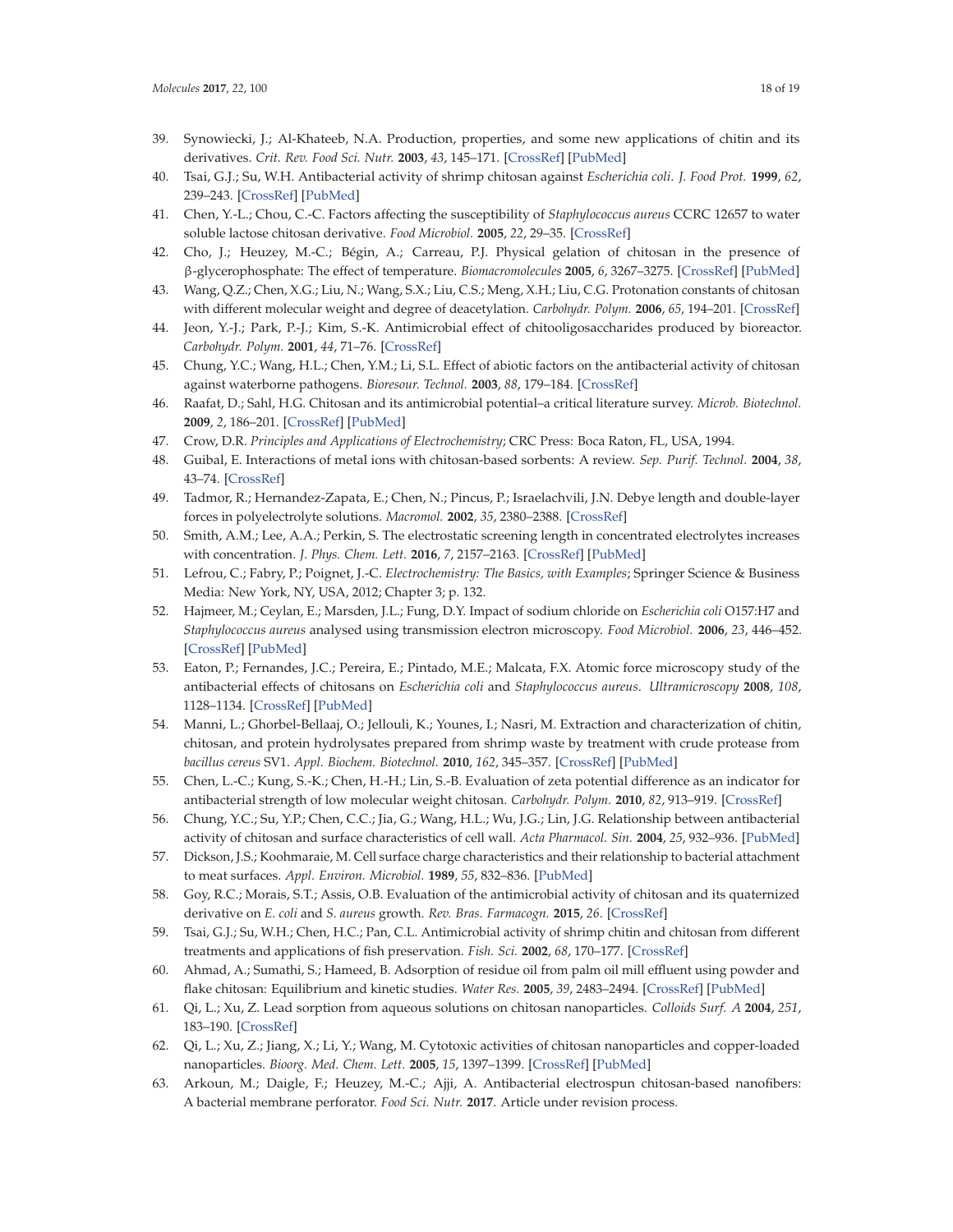- 39. Synowiecki, J.; Al-Khateeb, N.A. Production, properties, and some new applications of chitin and its derivatives. *Crit. Rev. Food Sci. Nutr.* **2003**, *43*, 145–171. [CrossRef] [PubMed]
- 40. Tsai, G.J.; Su, W.H. Antibacterial activity of shrimp chitosan against *Escherichia coli*. *J. Food Prot.* **1999**, *62*, 239–243. [CrossRef] [PubMed]
- 41. Chen, Y.-L.; Chou, C.-C. Factors affecting the susceptibility of *Staphylococcus aureus* CCRC 12657 to water soluble lactose chitosan derivative. *Food Microbiol.* **2005**, *22*, 29–35. [CrossRef]
- 42. Cho, J.; Heuzey, M.-C.; Bégin, A.; Carreau, P.J. Physical gelation of chitosan in the presence of β-glycerophosphate: The effect of temperature. *Biomacromolecules* **2005**, *6*, 3267–3275. [CrossRef] [PubMed]
- 43. Wang, Q.Z.; Chen, X.G.; Liu, N.; Wang, S.X.; Liu, C.S.; Meng, X.H.; Liu, C.G. Protonation constants of chitosan with different molecular weight and degree of deacetylation. *Carbohydr. Polym.* **2006**, *65*, 194–201. [CrossRef]
- 44. Jeon, Y.-J.; Park, P.-J.; Kim, S.-K. Antimicrobial effect of chitooligosaccharides produced by bioreactor. *Carbohydr. Polym.* **2001**, *44*, 71–76. [CrossRef]
- 45. Chung, Y.C.; Wang, H.L.; Chen, Y.M.; Li, S.L. Effect of abiotic factors on the antibacterial activity of chitosan against waterborne pathogens. *Bioresour. Technol.* **2003**, *88*, 179–184. [CrossRef]
- 46. Raafat, D.; Sahl, H.G. Chitosan and its antimicrobial potential–a critical literature survey. *Microb. Biotechnol.* **2009**, *2*, 186–201. [CrossRef] [PubMed]
- 47. Crow, D.R. *Principles and Applications of Electrochemistry*; CRC Press: Boca Raton, FL, USA, 1994.
- 48. Guibal, E. Interactions of metal ions with chitosan-based sorbents: A review. *Sep. Purif. Technol.* **2004**, *38*, 43–74. [CrossRef]
- 49. Tadmor, R.; Hernandez-Zapata, E.; Chen, N.; Pincus, P.; Israelachvili, J.N. Debye length and double-layer forces in polyelectrolyte solutions. *Macromol.* **2002**, *35*, 2380–2388. [CrossRef]
- 50. Smith, A.M.; Lee, A.A.; Perkin, S. The electrostatic screening length in concentrated electrolytes increases with concentration. *J. Phys. Chem. Lett.* **2016**, *7*, 2157–2163. [CrossRef] [PubMed]
- 51. Lefrou, C.; Fabry, P.; Poignet, J.-C. *Electrochemistry: The Basics, with Examples*; Springer Science & Business Media: New York, NY, USA, 2012; Chapter 3; p. 132.
- 52. Hajmeer, M.; Ceylan, E.; Marsden, J.L.; Fung, D.Y. Impact of sodium chloride on *Escherichia coli* O157:H7 and *Staphylococcus aureus* analysed using transmission electron microscopy. *Food Microbiol.* **2006**, *23*, 446–452. [CrossRef] [PubMed]
- 53. Eaton, P.; Fernandes, J.C.; Pereira, E.; Pintado, M.E.; Malcata, F.X. Atomic force microscopy study of the antibacterial effects of chitosans on *Escherichia coli* and *Staphylococcus aureus*. *Ultramicroscopy* **2008**, *108*, 1128–1134. [CrossRef] [PubMed]
- 54. Manni, L.; Ghorbel-Bellaaj, O.; Jellouli, K.; Younes, I.; Nasri, M. Extraction and characterization of chitin, chitosan, and protein hydrolysates prepared from shrimp waste by treatment with crude protease from *bacillus cereus* SV1. *Appl. Biochem. Biotechnol.* **2010**, *162*, 345–357. [CrossRef] [PubMed]
- 55. Chen, L.-C.; Kung, S.-K.; Chen, H.-H.; Lin, S.-B. Evaluation of zeta potential difference as an indicator for antibacterial strength of low molecular weight chitosan. *Carbohydr. Polym.* **2010**, *82*, 913–919. [CrossRef]
- 56. Chung, Y.C.; Su, Y.P.; Chen, C.C.; Jia, G.; Wang, H.L.; Wu, J.G.; Lin, J.G. Relationship between antibacterial activity of chitosan and surface characteristics of cell wall. *Acta Pharmacol. Sin.* **2004**, *25*, 932–936. [PubMed]
- 57. Dickson, J.S.; Koohmaraie, M. Cell surface charge characteristics and their relationship to bacterial attachment to meat surfaces. *Appl. Environ. Microbiol.* **1989**, *55*, 832–836. [PubMed]
- 58. Goy, R.C.; Morais, S.T.; Assis, O.B. Evaluation of the antimicrobial activity of chitosan and its quaternized derivative on *E. coli* and *S. aureus* growth. *Rev. Bras. Farmacogn.* **2015**, *26*. [CrossRef]
- 59. Tsai, G.J.; Su, W.H.; Chen, H.C.; Pan, C.L. Antimicrobial activity of shrimp chitin and chitosan from different treatments and applications of fish preservation. *Fish. Sci.* **2002**, *68*, 170–177. [CrossRef]
- 60. Ahmad, A.; Sumathi, S.; Hameed, B. Adsorption of residue oil from palm oil mill effluent using powder and flake chitosan: Equilibrium and kinetic studies. *Water Res.* **2005**, *39*, 2483–2494. [CrossRef] [PubMed]
- 61. Qi, L.; Xu, Z. Lead sorption from aqueous solutions on chitosan nanoparticles. *Colloids Surf. A* **2004**, *251*, 183–190. [CrossRef]
- 62. Qi, L.; Xu, Z.; Jiang, X.; Li, Y.; Wang, M. Cytotoxic activities of chitosan nanoparticles and copper-loaded nanoparticles. *Bioorg. Med. Chem. Lett.* **2005**, *15*, 1397–1399. [CrossRef] [PubMed]
- 63. Arkoun, M.; Daigle, F.; Heuzey, M.-C.; Ajji, A. Antibacterial electrospun chitosan-based nanofibers: A bacterial membrane perforator. *Food Sci. Nutr.* **2017**. Article under revision process.